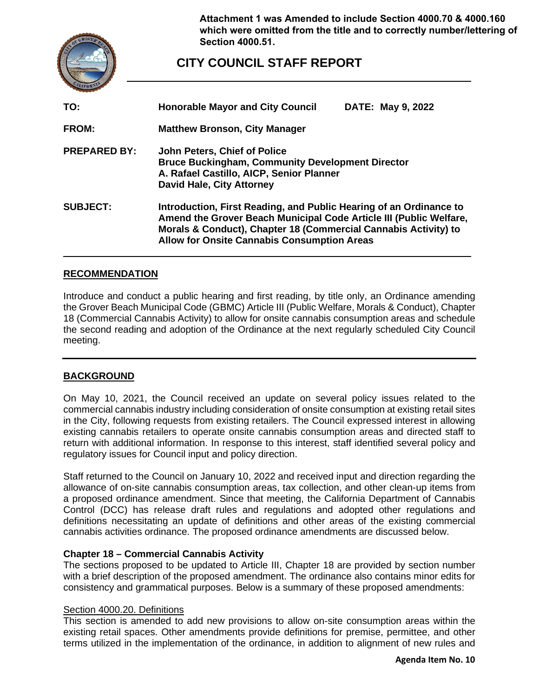

**Attachment 1 was Amended to include Section 4000.70 & 4000.160 which were omitted from the title and to correctly number/lettering of Section 4000.51.**

# **CITY COUNCIL STAFF REPORT**

| TO:                 | <b>Honorable Mayor and City Council</b><br>DATE: May 9, 2022                                                                                                                                                                                                      |
|---------------------|-------------------------------------------------------------------------------------------------------------------------------------------------------------------------------------------------------------------------------------------------------------------|
| <b>FROM:</b>        | <b>Matthew Bronson, City Manager</b>                                                                                                                                                                                                                              |
| <b>PREPARED BY:</b> | John Peters, Chief of Police<br><b>Bruce Buckingham, Community Development Director</b><br>A. Rafael Castillo, AICP, Senior Planner<br><b>David Hale, City Attorney</b>                                                                                           |
| <b>SUBJECT:</b>     | Introduction, First Reading, and Public Hearing of an Ordinance to<br>Amend the Grover Beach Municipal Code Article III (Public Welfare,<br>Morals & Conduct), Chapter 18 (Commercial Cannabis Activity) to<br><b>Allow for Onsite Cannabis Consumption Areas</b> |

### **RECOMMENDATION**

Introduce and conduct a public hearing and first reading, by title only, an Ordinance amending the Grover Beach Municipal Code (GBMC) Article III (Public Welfare, Morals & Conduct), Chapter 18 (Commercial Cannabis Activity) to allow for onsite cannabis consumption areas and schedule the second reading and adoption of the Ordinance at the next regularly scheduled City Council meeting.

### **BACKGROUND**

On May 10, 2021, the Council received an update on several policy issues related to the commercial cannabis industry including consideration of onsite consumption at existing retail sites in the City, following requests from existing retailers. The Council expressed interest in allowing existing cannabis retailers to operate onsite cannabis consumption areas and directed staff to return with additional information. In response to this interest, staff identified several policy and regulatory issues for Council input and policy direction.

Staff returned to the Council on January 10, 2022 and received input and direction regarding the allowance of on-site cannabis consumption areas, tax collection, and other clean-up items from a proposed ordinance amendment. Since that meeting, the California Department of Cannabis Control (DCC) has release draft rules and regulations and adopted other regulations and definitions necessitating an update of definitions and other areas of the existing commercial cannabis activities ordinance. The proposed ordinance amendments are discussed below.

#### **Chapter 18 – Commercial Cannabis Activity**

The sections proposed to be updated to Article III, Chapter 18 are provided by section number with a brief description of the proposed amendment. The ordinance also contains minor edits for consistency and grammatical purposes. Below is a summary of these proposed amendments:

#### Section 4000.20. Definitions

This section is amended to add new provisions to allow on-site consumption areas within the existing retail spaces. Other amendments provide definitions for premise, permittee, and other terms utilized in the implementation of the ordinance, in addition to alignment of new rules and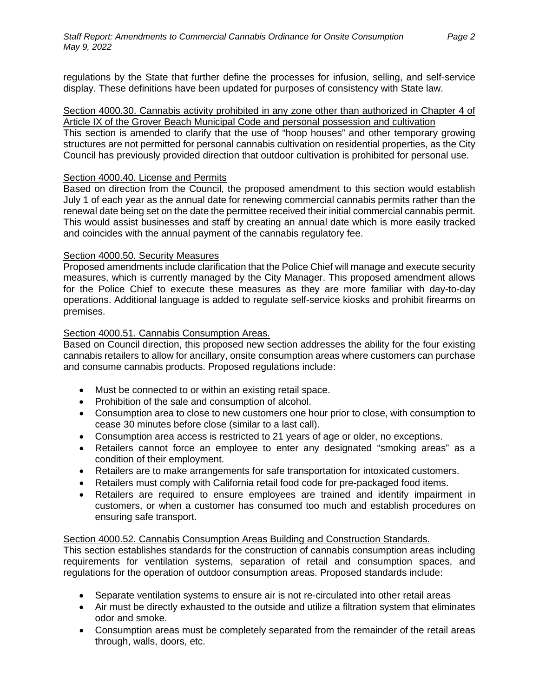regulations by the State that further define the processes for infusion, selling, and self-service display. These definitions have been updated for purposes of consistency with State law.

#### Section 4000.30. Cannabis activity prohibited in any zone other than authorized in Chapter 4 of Article IX of the Grover Beach Municipal Code and personal possession and cultivation

This section is amended to clarify that the use of "hoop houses" and other temporary growing structures are not permitted for personal cannabis cultivation on residential properties, as the City Council has previously provided direction that outdoor cultivation is prohibited for personal use.

### Section 4000.40. License and Permits

Based on direction from the Council, the proposed amendment to this section would establish July 1 of each year as the annual date for renewing commercial cannabis permits rather than the renewal date being set on the date the permittee received their initial commercial cannabis permit. This would assist businesses and staff by creating an annual date which is more easily tracked and coincides with the annual payment of the cannabis regulatory fee.

### Section 4000.50. Security Measures

Proposed amendments include clarification that the Police Chief will manage and execute security measures, which is currently managed by the City Manager. This proposed amendment allows for the Police Chief to execute these measures as they are more familiar with day-to-day operations. Additional language is added to regulate self-service kiosks and prohibit firearms on premises.

### Section 4000.51. Cannabis Consumption Areas.

Based on Council direction, this proposed new section addresses the ability for the four existing cannabis retailers to allow for ancillary, onsite consumption areas where customers can purchase and consume cannabis products. Proposed regulations include:

- Must be connected to or within an existing retail space.
- Prohibition of the sale and consumption of alcohol.
- Consumption area to close to new customers one hour prior to close, with consumption to cease 30 minutes before close (similar to a last call).
- Consumption area access is restricted to 21 years of age or older, no exceptions.
- Retailers cannot force an employee to enter any designated "smoking areas" as a condition of their employment.
- Retailers are to make arrangements for safe transportation for intoxicated customers.
- Retailers must comply with California retail food code for pre-packaged food items.
- Retailers are required to ensure employees are trained and identify impairment in customers, or when a customer has consumed too much and establish procedures on ensuring safe transport.

### Section 4000.52. Cannabis Consumption Areas Building and Construction Standards.

This section establishes standards for the construction of cannabis consumption areas including requirements for ventilation systems, separation of retail and consumption spaces, and regulations for the operation of outdoor consumption areas. Proposed standards include:

- Separate ventilation systems to ensure air is not re-circulated into other retail areas
- Air must be directly exhausted to the outside and utilize a filtration system that eliminates odor and smoke.
- Consumption areas must be completely separated from the remainder of the retail areas through, walls, doors, etc.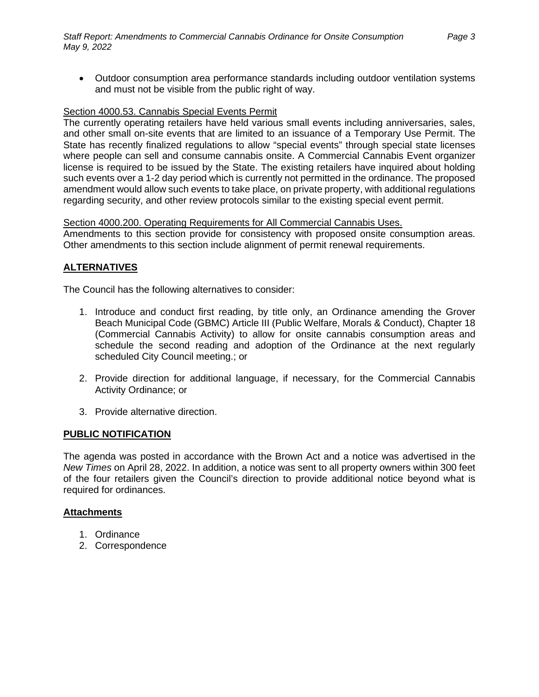### Section 4000.53. Cannabis Special Events Permit

The currently operating retailers have held various small events including anniversaries, sales, and other small on-site events that are limited to an issuance of a Temporary Use Permit. The State has recently finalized regulations to allow "special events" through special state licenses where people can sell and consume cannabis onsite. A Commercial Cannabis Event organizer license is required to be issued by the State. The existing retailers have inquired about holding such events over a 1-2 day period which is currently not permitted in the ordinance. The proposed amendment would allow such events to take place, on private property, with additional regulations regarding security, and other review protocols similar to the existing special event permit.

#### Section 4000.200. Operating Requirements for All Commercial Cannabis Uses.

Amendments to this section provide for consistency with proposed onsite consumption areas. Other amendments to this section include alignment of permit renewal requirements.

### **ALTERNATIVES**

The Council has the following alternatives to consider:

- 1. Introduce and conduct first reading, by title only, an Ordinance amending the Grover Beach Municipal Code (GBMC) Article III (Public Welfare, Morals & Conduct), Chapter 18 (Commercial Cannabis Activity) to allow for onsite cannabis consumption areas and schedule the second reading and adoption of the Ordinance at the next regularly scheduled City Council meeting.; or
- 2. Provide direction for additional language, if necessary, for the Commercial Cannabis Activity Ordinance; or
- 3. Provide alternative direction.

#### **PUBLIC NOTIFICATION**

The agenda was posted in accordance with the Brown Act and a notice was advertised in the *New Times* on April 28, 2022. In addition, a notice was sent to all property owners within 300 feet of the four retailers given the Council's direction to provide additional notice beyond what is required for ordinances.

### **Attachments**

- 1. Ordinance
- 2. Correspondence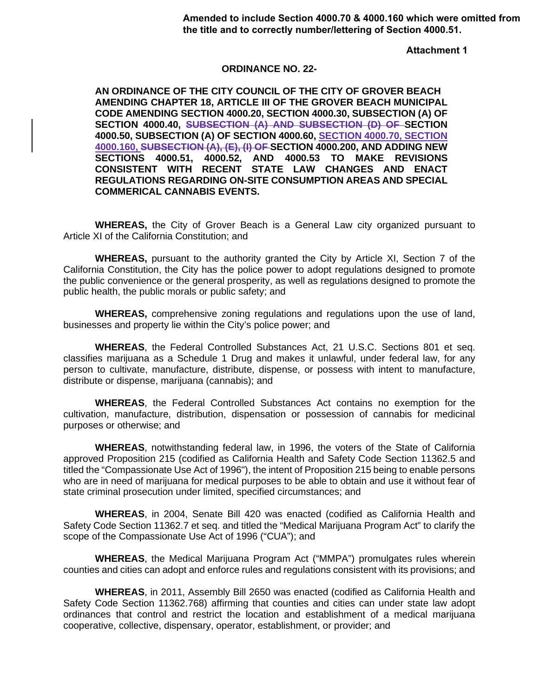**Attachment 1**

#### **ORDINANCE NO. 22-**

**AN ORDINANCE OF THE CITY COUNCIL OF THE CITY OF GROVER BEACH AMENDING CHAPTER 18, ARTICLE III OF THE GROVER BEACH MUNICIPAL CODE AMENDING SECTION 4000.20, SECTION 4000.30, SUBSECTION (A) OF SECTION 4000.40, SUBSECTION (A) AND SUBSECTION (D) OF SECTION 4000.50, SUBSECTION (A) OF SECTION 4000.60, SECTION 4000.70, SECTION 4000.160, SUBSECTION (A), (E), (I) OF SECTION 4000.200, AND ADDING NEW SECTIONS 4000.51, 4000.52, AND 4000.53 TO MAKE REVISIONS CONSISTENT WITH RECENT STATE LAW CHANGES AND ENACT REGULATIONS REGARDING ON-SITE CONSUMPTION AREAS AND SPECIAL COMMERICAL CANNABIS EVENTS.**

**WHEREAS,** the City of Grover Beach is a General Law city organized pursuant to Article XI of the California Constitution; and

**WHEREAS,** pursuant to the authority granted the City by Article XI, Section 7 of the California Constitution, the City has the police power to adopt regulations designed to promote the public convenience or the general prosperity, as well as regulations designed to promote the public health, the public morals or public safety; and

**WHEREAS,** comprehensive zoning regulations and regulations upon the use of land, businesses and property lie within the City's police power; and

**WHEREAS**, the Federal Controlled Substances Act, 21 U.S.C. Sections 801 et seq. classifies marijuana as a Schedule 1 Drug and makes it unlawful, under federal law, for any person to cultivate, manufacture, distribute, dispense, or possess with intent to manufacture, distribute or dispense, marijuana (cannabis); and

**WHEREAS**, the Federal Controlled Substances Act contains no exemption for the cultivation, manufacture, distribution, dispensation or possession of cannabis for medicinal purposes or otherwise; and

**WHEREAS**, notwithstanding federal law, in 1996, the voters of the State of California approved Proposition 215 (codified as California Health and Safety Code Section 11362.5 and titled the "Compassionate Use Act of 1996"), the intent of Proposition 215 being to enable persons who are in need of marijuana for medical purposes to be able to obtain and use it without fear of state criminal prosecution under limited, specified circumstances; and

**WHEREAS**, in 2004, Senate Bill 420 was enacted (codified as California Health and Safety Code Section 11362.7 et seq. and titled the "Medical Marijuana Program Act" to clarify the scope of the Compassionate Use Act of 1996 ("CUA"); and

**WHEREAS**, the Medical Marijuana Program Act ("MMPA") promulgates rules wherein counties and cities can adopt and enforce rules and regulations consistent with its provisions; and

**WHEREAS**, in 2011, Assembly Bill 2650 was enacted (codified as California Health and Safety Code Section 11362.768) affirming that counties and cities can under state law adopt ordinances that control and restrict the location and establishment of a medical marijuana cooperative, collective, dispensary, operator, establishment, or provider; and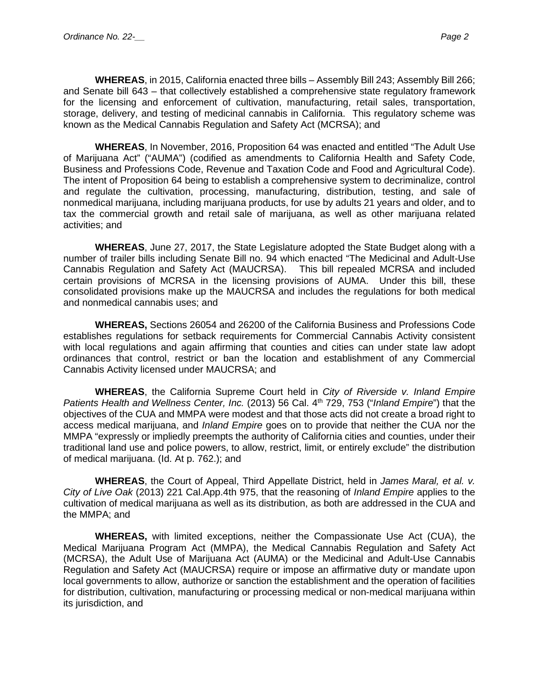**WHEREAS**, in 2015, California enacted three bills – Assembly Bill 243; Assembly Bill 266; and Senate bill 643 – that collectively established a comprehensive state regulatory framework for the licensing and enforcement of cultivation, manufacturing, retail sales, transportation, storage, delivery, and testing of medicinal cannabis in California. This regulatory scheme was known as the Medical Cannabis Regulation and Safety Act (MCRSA); and

**WHEREAS**, In November, 2016, Proposition 64 was enacted and entitled "The Adult Use of Marijuana Act" ("AUMA") (codified as amendments to California Health and Safety Code, Business and Professions Code, Revenue and Taxation Code and Food and Agricultural Code). The intent of Proposition 64 being to establish a comprehensive system to decriminalize, control and regulate the cultivation, processing, manufacturing, distribution, testing, and sale of nonmedical marijuana, including marijuana products, for use by adults 21 years and older, and to tax the commercial growth and retail sale of marijuana, as well as other marijuana related activities; and

**WHEREAS**, June 27, 2017, the State Legislature adopted the State Budget along with a number of trailer bills including Senate Bill no. 94 which enacted "The Medicinal and Adult-Use Cannabis Regulation and Safety Act (MAUCRSA). This bill repealed MCRSA and included certain provisions of MCRSA in the licensing provisions of AUMA. Under this bill, these consolidated provisions make up the MAUCRSA and includes the regulations for both medical and nonmedical cannabis uses; and

**WHEREAS,** Sections 26054 and 26200 of the California Business and Professions Code establishes regulations for setback requirements for Commercial Cannabis Activity consistent with local regulations and again affirming that counties and cities can under state law adopt ordinances that control, restrict or ban the location and establishment of any Commercial Cannabis Activity licensed under MAUCRSA; and

**WHEREAS**, the California Supreme Court held in *City of Riverside v. Inland Empire Patients Health and Wellness Center, Inc.* (2013) 56 Cal. 4th 729, 753 ("*Inland Empire*") that the objectives of the CUA and MMPA were modest and that those acts did not create a broad right to access medical marijuana, and *Inland Empire* goes on to provide that neither the CUA nor the MMPA "expressly or impliedly preempts the authority of California cities and counties, under their traditional land use and police powers, to allow, restrict, limit, or entirely exclude" the distribution of medical marijuana. (Id. At p. 762.); and

**WHEREAS**, the Court of Appeal, Third Appellate District, held in *James Maral, et al. v. City of Live Oak* (2013) 221 Cal.App.4th 975, that the reasoning of *Inland Empire* applies to the cultivation of medical marijuana as well as its distribution, as both are addressed in the CUA and the MMPA; and

**WHEREAS,** with limited exceptions, neither the Compassionate Use Act (CUA), the Medical Marijuana Program Act (MMPA), the Medical Cannabis Regulation and Safety Act (MCRSA), the Adult Use of Marijuana Act (AUMA) or the Medicinal and Adult-Use Cannabis Regulation and Safety Act (MAUCRSA) require or impose an affirmative duty or mandate upon local governments to allow, authorize or sanction the establishment and the operation of facilities for distribution, cultivation, manufacturing or processing medical or non-medical marijuana within its jurisdiction, and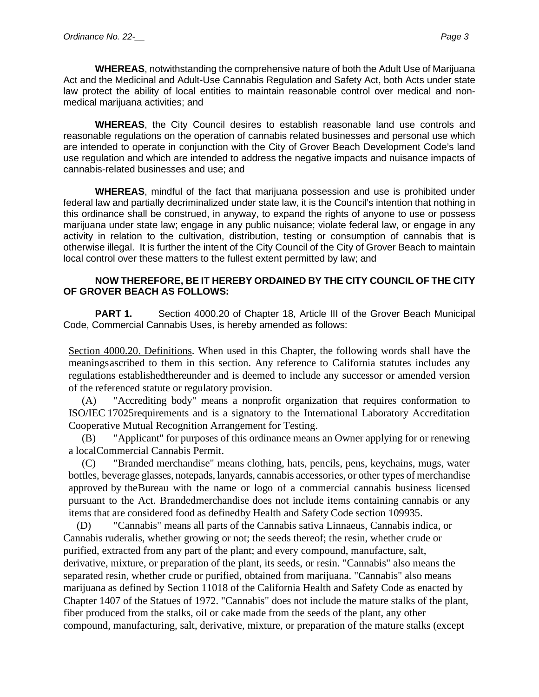**WHEREAS**, notwithstanding the comprehensive nature of both the Adult Use of Marijuana Act and the Medicinal and Adult-Use Cannabis Regulation and Safety Act, both Acts under state law protect the ability of local entities to maintain reasonable control over medical and nonmedical marijuana activities; and

**WHEREAS**, the City Council desires to establish reasonable land use controls and reasonable regulations on the operation of cannabis related businesses and personal use which are intended to operate in conjunction with the City of Grover Beach Development Code's land use regulation and which are intended to address the negative impacts and nuisance impacts of cannabis-related businesses and use; and

**WHEREAS**, mindful of the fact that marijuana possession and use is prohibited under federal law and partially decriminalized under state law, it is the Council's intention that nothing in this ordinance shall be construed, in anyway, to expand the rights of anyone to use or possess marijuana under state law; engage in any public nuisance; violate federal law, or engage in any activity in relation to the cultivation, distribution, testing or consumption of cannabis that is otherwise illegal. It is further the intent of the City Council of the City of Grover Beach to maintain local control over these matters to the fullest extent permitted by law; and

### **NOW THEREFORE, BE IT HEREBY ORDAINED BY THE CITY COUNCIL OF THE CITY OF GROVER BEACH AS FOLLOWS:**

**PART 1.** Section 4000.20 of Chapter 18, Article III of the Grover Beach Municipal Code, Commercial Cannabis Uses, is hereby amended as follows:

Section 4000.20. Definitions. When used in this Chapter, the following words shall have the meaningsascribed to them in this section. Any reference to California statutes includes any regulations establishedthereunder and is deemed to include any successor or amended version of the referenced statute or regulatory provision.

(A) "Accrediting body" means a nonprofit organization that requires conformation to ISO/IEC 17025requirements and is a signatory to the International Laboratory Accreditation Cooperative Mutual Recognition Arrangement for Testing.

(B) "Applicant" for purposes of this ordinance means an Owner applying for or renewing a localCommercial Cannabis Permit.

(C) "Branded merchandise" means clothing, hats, pencils, pens, keychains, mugs, water bottles, beverage glasses, notepads, lanyards, cannabis accessories, or other types of merchandise approved by theBureau with the name or logo of a commercial cannabis business licensed pursuant to the Act. Brandedmerchandise does not include items containing cannabis or any items that are considered food as definedby Health and Safety Code section 109935.

(D) "Cannabis" means all parts of the Cannabis sativa Linnaeus, Cannabis indica, or Cannabis ruderalis, whether growing or not; the seeds thereof; the resin, whether crude or purified, extracted from any part of the plant; and every compound, manufacture, salt, derivative, mixture, or preparation of the plant, its seeds, or resin. "Cannabis" also means the separated resin, whether crude or purified, obtained from marijuana. "Cannabis" also means marijuana as defined by Section 11018 of the California Health and Safety Code as enacted by Chapter 1407 of the Statues of 1972. "Cannabis" does not include the mature stalks of the plant, fiber produced from the stalks, oil or cake made from the seeds of the plant, any other compound, manufacturing, salt, derivative, mixture, or preparation of the mature stalks (except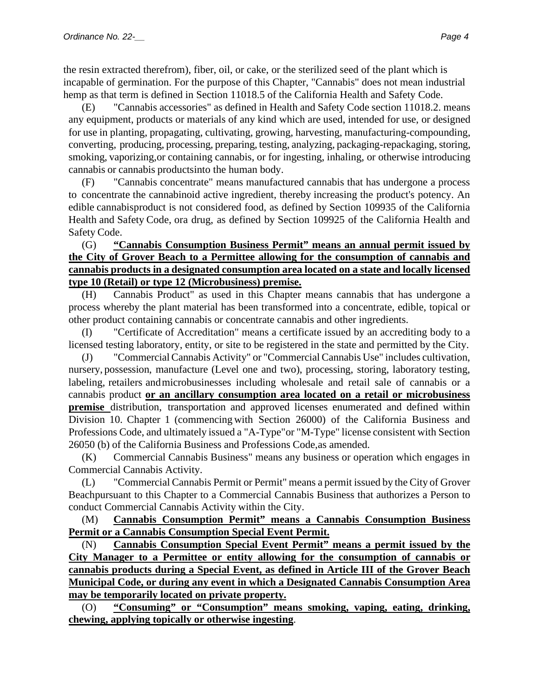the resin extracted therefrom), fiber, oil, or cake, or the sterilized seed of the plant which is incapable of germination. For the purpose of this Chapter, "Cannabis" does not mean industrial hemp as that term is defined in Section 11018.5 of the California Health and Safety Code.

(E) "Cannabis accessories" as defined in Health and Safety Code section 11018.2. means any equipment, products or materials of any kind which are used, intended for use, or designed for use in planting, propagating, cultivating, growing, harvesting, manufacturing-compounding, converting, producing, processing, preparing, testing, analyzing, packaging-repackaging, storing, smoking, vaporizing,or containing cannabis, or for ingesting, inhaling, or otherwise introducing cannabis or cannabis productsinto the human body.

(F) "Cannabis concentrate" means manufactured cannabis that has undergone a process to concentrate the cannabinoid active ingredient, thereby increasing the product's potency. An edible cannabisproduct is not considered food, as defined by Section 109935 of the California Health and Safety Code, ora drug, as defined by Section 109925 of the California Health and Safety Code.

## (G) **"Cannabis Consumption Business Permit" means an annual permit issued by the City of Grover Beach to a Permittee allowing for the consumption of cannabis and cannabis products in a designated consumption area located on a state and locally licensed type 10 (Retail) or type 12 (Microbusiness) premise.**

(H) Cannabis Product" as used in this Chapter means cannabis that has undergone a process whereby the plant material has been transformed into a concentrate, edible, topical or other product containing cannabis or concentrate cannabis and other ingredients.

(I) "Certificate of Accreditation" means a certificate issued by an accrediting body to a licensed testing laboratory, entity, or site to be registered in the state and permitted by the City.

(J) "CommercialCannabis Activity" or "Commercial Cannabis Use" includes cultivation, nursery, possession, manufacture (Level one and two), processing, storing, laboratory testing, labeling, retailers andmicrobusinesses including wholesale and retail sale of cannabis or a cannabis product **or an ancillary consumption area located on a retail or microbusiness premise** distribution, transportation and approved licenses enumerated and defined within Division 10. Chapter 1 (commencing with Section 26000) of the California Business and Professions Code, and ultimately issued a "A-Type"or "M-Type" license consistent with Section 26050 (b) of the California Business and Professions Code,as amended.

(K) Commercial Cannabis Business" means any business or operation which engages in Commercial Cannabis Activity.

(L) "Commercial Cannabis Permit or Permit" means a permit issued by the City of Grover Beachpursuant to this Chapter to a Commercial Cannabis Business that authorizes a Person to conduct Commercial Cannabis Activity within the City.

(M) **Cannabis Consumption Permit" means a Cannabis Consumption Business Permit or a Cannabis Consumption Special Event Permit.**

(N) **Cannabis Consumption Special Event Permit" means a permit issued by the City Manager to a Permittee or entity allowing for the consumption of cannabis or cannabis products during a Special Event, as defined in Article III of the Grover Beach Municipal Code, or during any event in which a Designated Cannabis Consumption Area may be temporarily located on private property.**

(O) **"Consuming" or "Consumption" means smoking, vaping, eating, drinking, chewing, applying topically or otherwise ingesting**.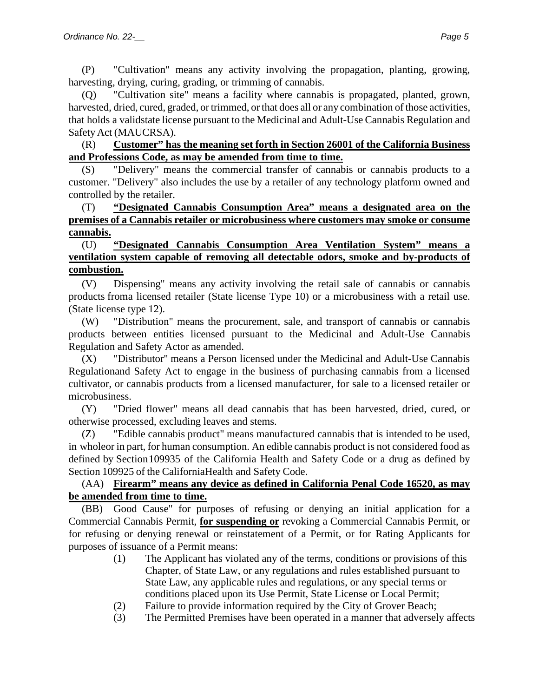(P) "Cultivation" means any activity involving the propagation, planting, growing, harvesting, drying, curing, grading, or trimming of cannabis.

(Q) "Cultivation site" means a facility where cannabis is propagated, planted, grown, harvested, dried, cured, graded, or trimmed, or that does all or any combination of those activities, that holds a validstate license pursuant to the Medicinal and Adult-Use Cannabis Regulation and Safety Act (MAUCRSA).

## (R) **Customer" has the meaning set forth in Section 26001 of the California Business and Professions Code, as may be amended from time to time.**

(S) "Delivery" means the commercial transfer of cannabis or cannabis products to a customer. "Delivery" also includes the use by a retailer of any technology platform owned and controlled by the retailer.

## (T) **"Designated Cannabis Consumption Area" means a designated area on the premises of a Cannabis retailer or microbusiness where customers may smoke or consume cannabis.**

## (U) **"Designated Cannabis Consumption Area Ventilation System" means a ventilation system capable of removing all detectable odors, smoke and by-products of combustion.**

(V) Dispensing" means any activity involving the retail sale of cannabis or cannabis products froma licensed retailer (State license Type 10) or a microbusiness with a retail use. (State license type 12).

(W) "Distribution" means the procurement, sale, and transport of cannabis or cannabis products between entities licensed pursuant to the Medicinal and Adult-Use Cannabis Regulation and Safety Actor as amended.

(X) "Distributor" means a Person licensed under the Medicinal and Adult-Use Cannabis Regulationand Safety Act to engage in the business of purchasing cannabis from a licensed cultivator, or cannabis products from a licensed manufacturer, for sale to a licensed retailer or microbusiness.

(Y) "Dried flower" means all dead cannabis that has been harvested, dried, cured, or otherwise processed, excluding leaves and stems.

(Z) "Edible cannabis product" means manufactured cannabis that is intended to be used, in wholeor in part, for human consumption. An edible cannabis product is not considered food as defined by Section 109935 of the California Health and Safety Code or a drug as defined by Section 109925 of the CaliforniaHealth and Safety Code.

## (AA) **Firearm" means any device as defined in California Penal Code 16520, as may be amended from time to time.**

(BB) Good Cause" for purposes of refusing or denying an initial application for a Commercial Cannabis Permit, **for suspending or** revoking a Commercial Cannabis Permit, or for refusing or denying renewal or reinstatement of a Permit, or for Rating Applicants for purposes of issuance of a Permit means:

- (1) The Applicant has violated any of the terms, conditions or provisions of this Chapter, of State Law, or any regulations and rules established pursuant to State Law, any applicable rules and regulations, or any special terms or conditions placed upon its Use Permit, State License or Local Permit;
- (2) Failure to provide information required by the City of Grover Beach;
- (3) The Permitted Premises have been operated in a manner that adversely affects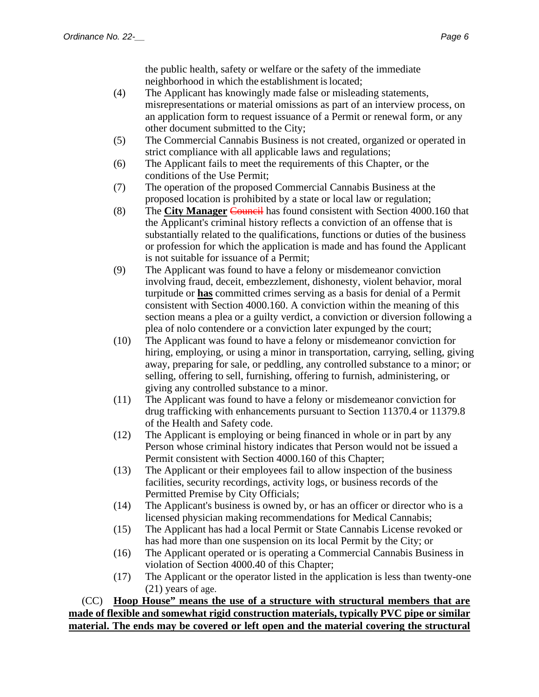the public health, safety or welfare or the safety of the immediate neighborhood in which the establishment islocated;

- (4) The Applicant has knowingly made false or misleading statements, misrepresentations or material omissions as part of an interview process, on an application form to request issuance of a Permit or renewal form, or any other document submitted to the City;
- (5) The Commercial Cannabis Business is not created, organized or operated in strict compliance with all applicable laws and regulations;
- (6) The Applicant fails to meet the requirements of this Chapter, or the conditions of the Use Permit;
- (7) The operation of the proposed Commercial Cannabis Business at the proposed location is prohibited by a state or local law or regulation;
- (8) The **City Manager** Council has found consistent with Section 4000.160 that the Applicant's criminal history reflects a conviction of an offense that is substantially related to the qualifications, functions or duties of the business or profession for which the application is made and has found the Applicant is not suitable for issuance of a Permit;
- (9) The Applicant was found to have a felony or misdemeanor conviction involving fraud, deceit, embezzlement, dishonesty, violent behavior, moral turpitude or **has** committed crimes serving as a basis for denial of a Permit consistent with Section 4000.160. A conviction within the meaning of this section means a plea or a guilty verdict, a conviction or diversion following a plea of nolo contendere or a conviction later expunged by the court;
- (10) The Applicant was found to have a felony or misdemeanor conviction for hiring, employing, or using a minor in transportation, carrying, selling, giving away, preparing for sale, or peddling, any controlled substance to a minor; or selling, offering to sell, furnishing, offering to furnish, administering, or giving any controlled substance to a minor.
- (11) The Applicant was found to have a felony or misdemeanor conviction for drug trafficking with enhancements pursuant to Section 11370.4 or 11379.8 of the Health and Safety code.
- (12) The Applicant is employing or being financed in whole or in part by any Person whose criminal history indicates that Person would not be issued a Permit consistent with Section 4000.160 of this Chapter;
- (13) The Applicant or their employees fail to allow inspection of the business facilities, security recordings, activity logs, or business records of the Permitted Premise by City Officials;
- (14) The Applicant's business is owned by, or has an officer or director who is a licensed physician making recommendations for Medical Cannabis;
- (15) The Applicant has had a local Permit or State Cannabis License revoked or has had more than one suspension on its local Permit by the City; or
- (16) The Applicant operated or is operating a Commercial Cannabis Business in violation of Section 4000.40 of this Chapter;
- (17) The Applicant or the operator listed in the application is less than twenty-one (21) years of age.

(CC) **Hoop House" means the use of a structure with structural members that are made of flexible and somewhat rigid construction materials, typically PVC pipe or similar material. The ends may be covered or left open and the material covering the structural**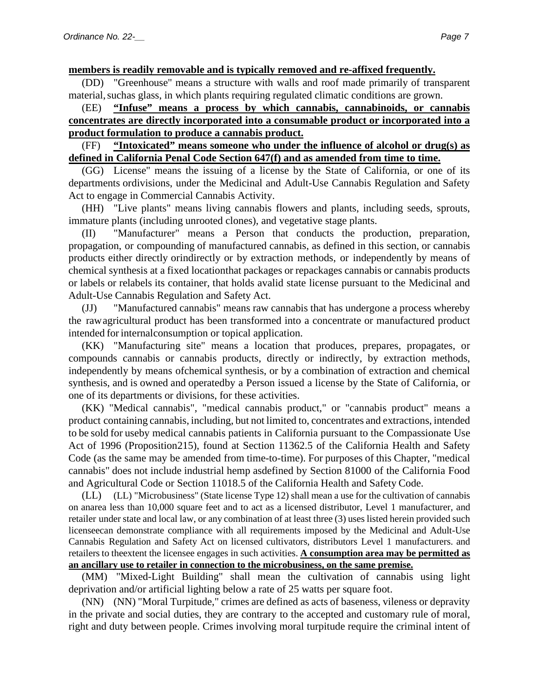**members is readily removable and is typically removed and re-affixed frequently.**

(DD) "Greenhouse" means a structure with walls and roof made primarily of transparent material, suchas glass, in which plants requiring regulated climatic conditions are grown.

## (EE) **"Infuse" means a process by which cannabis, cannabinoids, or cannabis concentrates are directly incorporated into a consumable product or incorporated into a product formulation to produce a cannabis product.**

## (FF) **"Intoxicated" means someone who under the influence of alcohol or drug(s) as defined in California Penal Code Section 647(f) and as amended from time to time.**

(GG) License" means the issuing of a license by the State of California, or one of its departments ordivisions, under the Medicinal and Adult-Use Cannabis Regulation and Safety Act to engage in Commercial Cannabis Activity.

(HH) "Live plants" means living cannabis flowers and plants, including seeds, sprouts, immature plants (including unrooted clones), and vegetative stage plants.

(II) "Manufacturer" means a Person that conducts the production, preparation, propagation, or compounding of manufactured cannabis, as defined in this section, or cannabis products either directly orindirectly or by extraction methods, or independently by means of chemical synthesis at a fixed locationthat packages or repackages cannabis or cannabis products or labels or relabels its container, that holds avalid state license pursuant to the Medicinal and Adult-Use Cannabis Regulation and Safety Act.

(JJ) "Manufactured cannabis" means raw cannabis that has undergone a process whereby the rawagricultural product has been transformed into a concentrate or manufactured product intended for internalconsumption or topical application.

(KK) "Manufacturing site" means a location that produces, prepares, propagates, or compounds cannabis or cannabis products, directly or indirectly, by extraction methods, independently by means ofchemical synthesis, or by a combination of extraction and chemical synthesis, and is owned and operatedby a Person issued a license by the State of California, or one of its departments or divisions, for these activities.

(KK) "Medical cannabis", "medical cannabis product," or "cannabis product" means a product containing cannabis, including, but not limited to, concentrates and extractions, intended to be sold for useby medical cannabis patients in California pursuant to the Compassionate Use Act of 1996 (Proposition215), found at Section 11362.5 of the California Health and Safety Code (as the same may be amended from time-to-time). For purposes of this Chapter, "medical cannabis" does not include industrial hemp asdefined by Section 81000 of the California Food and Agricultural Code or Section 11018.5 of the California Health and Safety Code.

(LL) (LL) "Microbusiness" (State license Type 12) shall mean a use for the cultivation of cannabis on anarea less than 10,000 square feet and to act as a licensed distributor, Level 1 manufacturer, and retailer under state and local law, or any combination of at least three (3) uses listed herein provided such licenseecan demonstrate compliance with all requirements imposed by the Medicinal and Adult-Use Cannabis Regulation and Safety Act on licensed cultivators, distributors Level 1 manufacturers. and retailers to theextent the licensee engages in such activities. **A consumption area may be permitted as an ancillary use to retailer in connection to the microbusiness, on the same premise.**

(MM) "Mixed-Light Building" shall mean the cultivation of cannabis using light deprivation and/or artificial lighting below a rate of 25 watts per square foot.

(NN) (NN) "Moral Turpitude," crimes are defined as acts of baseness, vileness or depravity in the private and social duties, they are contrary to the accepted and customary rule of moral, right and duty between people. Crimes involving moral turpitude require the criminal intent of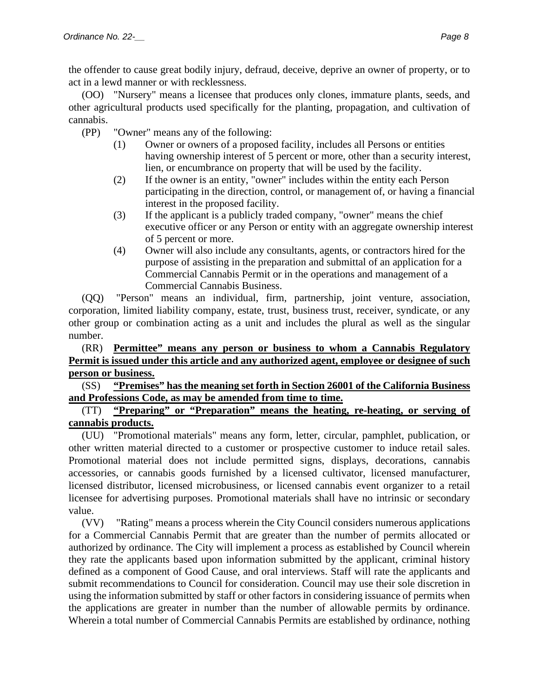the offender to cause great bodily injury, defraud, deceive, deprive an owner of property, or to act in a lewd manner or with recklessness.

(OO) "Nursery" means a licensee that produces only clones, immature plants, seeds, and other agricultural products used specifically for the planting, propagation, and cultivation of cannabis.

- (PP) "Owner" means any of the following:
	- (1) Owner or owners of a proposed facility, includes all Persons or entities having ownership interest of 5 percent or more, other than a security interest, lien, or encumbrance on property that will be used by the facility.
	- (2) If the owner is an entity, "owner" includes within the entity each Person participating in the direction, control, or management of, or having a financial interest in the proposed facility.
	- (3) If the applicant is a publicly traded company, "owner" means the chief executive officer or any Person or entity with an aggregate ownership interest of 5 percent or more.
	- (4) Owner will also include any consultants, agents, or contractors hired for the purpose of assisting in the preparation and submittal of an application for a Commercial Cannabis Permit or in the operations and management of a Commercial Cannabis Business.

(QQ) "Person" means an individual, firm, partnership, joint venture, association, corporation, limited liability company, estate, trust, business trust, receiver, syndicate, or any other group or combination acting as a unit and includes the plural as well as the singular number.

## (RR) **Permittee" means any person or business to whom a Cannabis Regulatory Permit is issued under this article and any authorized agent, employee or designee of such person or business.**

## (SS) **"Premises" has the meaning set forth in Section 26001 of the California Business and Professions Code, as may be amended from time to time.**

(TT) **"Preparing" or "Preparation" means the heating, re-heating, or serving of cannabis products.**

(UU) "Promotional materials" means any form, letter, circular, pamphlet, publication, or other written material directed to a customer or prospective customer to induce retail sales. Promotional material does not include permitted signs, displays, decorations, cannabis accessories, or cannabis goods furnished by a licensed cultivator, licensed manufacturer, licensed distributor, licensed microbusiness, or licensed cannabis event organizer to a retail licensee for advertising purposes. Promotional materials shall have no intrinsic or secondary value.

(VV) "Rating" means a process wherein the City Council considers numerous applications for a Commercial Cannabis Permit that are greater than the number of permits allocated or authorized by ordinance. The City will implement a process as established by Council wherein they rate the applicants based upon information submitted by the applicant, criminal history defined as a component of Good Cause, and oral interviews. Staff will rate the applicants and submit recommendations to Council for consideration. Council may use their sole discretion in using the information submitted by staff or other factors in considering issuance of permits when the applications are greater in number than the number of allowable permits by ordinance. Wherein a total number of Commercial Cannabis Permits are established by ordinance, nothing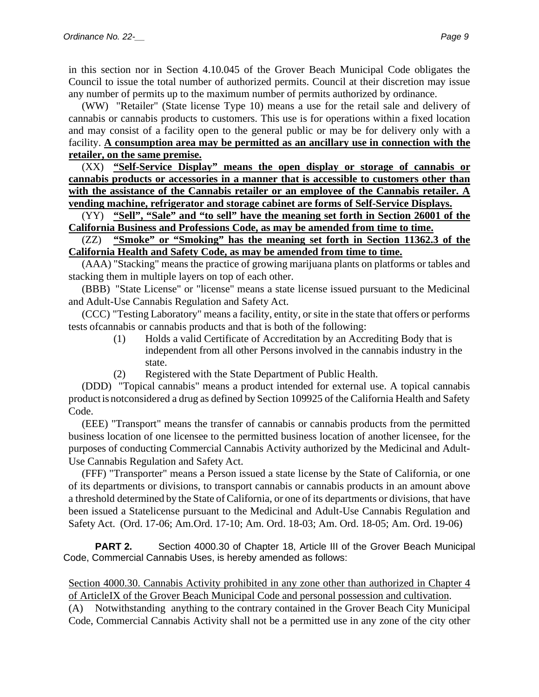in this section nor in Section 4.10.045 of the Grover Beach Municipal Code obligates the Council to issue the total number of authorized permits. Council at their discretion may issue any number of permits up to the maximum number of permits authorized by ordinance.

(WW) "Retailer" (State license Type 10) means a use for the retail sale and delivery of cannabis or cannabis products to customers. This use is for operations within a fixed location and may consist of a facility open to the general public or may be for delivery only with a facility. **A consumption area may be permitted as an ancillary use in connection with the retailer, on the same premise.**

(XX) **"Self-Service Display" means the open display or storage of cannabis or cannabis products or accessories in a manner that is accessible to customers other than with the assistance of the Cannabis retailer or an employee of the Cannabis retailer. A vending machine, refrigerator and storage cabinet are forms of Self-Service Displays.**

(YY) **"Sell", "Sale" and "to sell" have the meaning set forth in Section 26001 of the California Business and Professions Code, as may be amended from time to time.**

(ZZ) **"Smoke" or "Smoking" has the meaning set forth in Section 11362.3 of the California Health and Safety Code, as may be amended from time to time.**

(AAA) "Stacking" means the practice of growing marijuana plants on platforms or tables and stacking them in multiple layers on top of each other.

(BBB) "State License" or "license" means a state license issued pursuant to the Medicinal and Adult-Use Cannabis Regulation and Safety Act.

(CCC) "Testing Laboratory" means a facility, entity, or site in the state that offers or performs tests ofcannabis or cannabis products and that is both of the following:

- (1) Holds a valid Certificate of Accreditation by an Accrediting Body that is independent from all other Persons involved in the cannabis industry in the state.
- (2) Registered with the State Department of Public Health.

(DDD) "Topical cannabis" means a product intended for external use. A topical cannabis productis notconsidered a drug as defined by Section 109925 of the California Health and Safety Code.

(EEE) "Transport" means the transfer of cannabis or cannabis products from the permitted business location of one licensee to the permitted business location of another licensee, for the purposes of conducting Commercial Cannabis Activity authorized by the Medicinal and Adult-Use Cannabis Regulation and Safety Act.

(FFF) "Transporter" means a Person issued a state license by the State of California, or one of its departments or divisions, to transport cannabis or cannabis products in an amount above a threshold determined by the State of California, or one of its departments or divisions, that have been issued a Statelicense pursuant to the Medicinal and Adult-Use Cannabis Regulation and Safety Act. (Ord. 17-06; Am.Ord. 17-10; Am. Ord. 18-03; Am. Ord. 18-05; Am. Ord. 19-06)

**PART 2.** Section 4000.30 of Chapter 18, Article III of the Grover Beach Municipal Code, Commercial Cannabis Uses, is hereby amended as follows:

Section 4000.30. Cannabis Activity prohibited in any zone other than authorized in Chapter 4 of ArticleIX of the Grover Beach Municipal Code and personal possession and cultivation. (A) Notwithstanding anything to the contrary contained in the Grover Beach City Municipal Code, Commercial Cannabis Activity shall not be a permitted use in any zone of the city other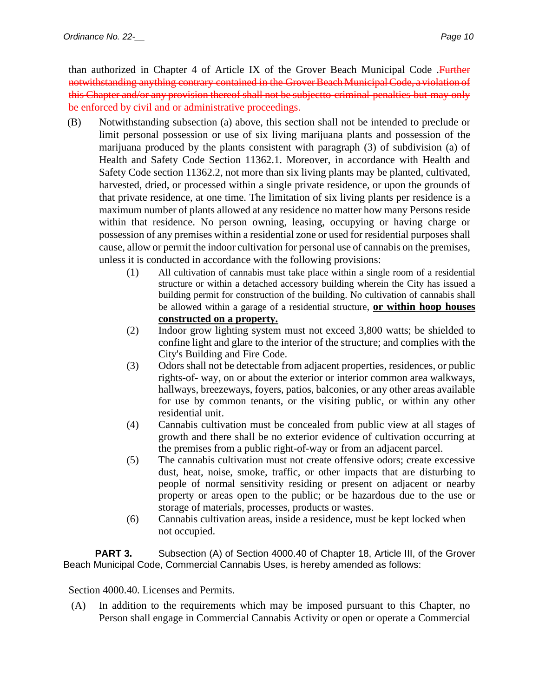than authorized in Chapter 4 of Article IX of the Grover Beach Municipal Code .Further notwithstanding anything contrary contained in the Grover Beach Municipal Code, a violation of this Chapter and/or any provision thereof shall not be subjectto criminal penalties but may only be enforced by civil and or administrative proceedings.

- (B) Notwithstanding subsection (a) above, this section shall not be intended to preclude or limit personal possession or use of six living marijuana plants and possession of the marijuana produced by the plants consistent with paragraph (3) of subdivision (a) of Health and Safety Code Section 11362.1. Moreover, in accordance with Health and Safety Code section 11362.2, not more than six living plants may be planted, cultivated, harvested, dried, or processed within a single private residence, or upon the grounds of that private residence, at one time. The limitation of six living plants per residence is a maximum number of plants allowed at any residence no matter how many Persons reside within that residence. No person owning, leasing, occupying or having charge or possession of any premises within a residential zone or used for residential purposes shall cause, allow or permit the indoor cultivation for personal use of cannabis on the premises, unless it is conducted in accordance with the following provisions:
	- (1) All cultivation of cannabis must take place within a single room of a residential structure or within a detached accessory building wherein the City has issued a building permit for construction of the building. No cultivation of cannabis shall be allowed within a garage of a residential structure, **or within hoop houses constructed on a property.**
	- (2) Indoor grow lighting system must not exceed 3,800 watts; be shielded to confine light and glare to the interior of the structure; and complies with the City's Building and Fire Code.
	- (3) Odors shall not be detectable from adjacent properties, residences, or public rights-of- way, on or about the exterior or interior common area walkways, hallways, breezeways, foyers, patios, balconies, or any other areas available for use by common tenants, or the visiting public, or within any other residential unit.
	- (4) Cannabis cultivation must be concealed from public view at all stages of growth and there shall be no exterior evidence of cultivation occurring at the premises from a public right-of-way or from an adjacent parcel.
	- (5) The cannabis cultivation must not create offensive odors; create excessive dust, heat, noise, smoke, traffic, or other impacts that are disturbing to people of normal sensitivity residing or present on adjacent or nearby property or areas open to the public; or be hazardous due to the use or storage of materials, processes, products or wastes.
	- (6) Cannabis cultivation areas, inside a residence, must be kept locked when not occupied.

**PART 3.** Subsection (A) of Section 4000.40 of Chapter 18, Article III, of the Grover Beach Municipal Code, Commercial Cannabis Uses, is hereby amended as follows:

## Section 4000.40. Licenses and Permits.

(A) In addition to the requirements which may be imposed pursuant to this Chapter, no Person shall engage in Commercial Cannabis Activity or open or operate a Commercial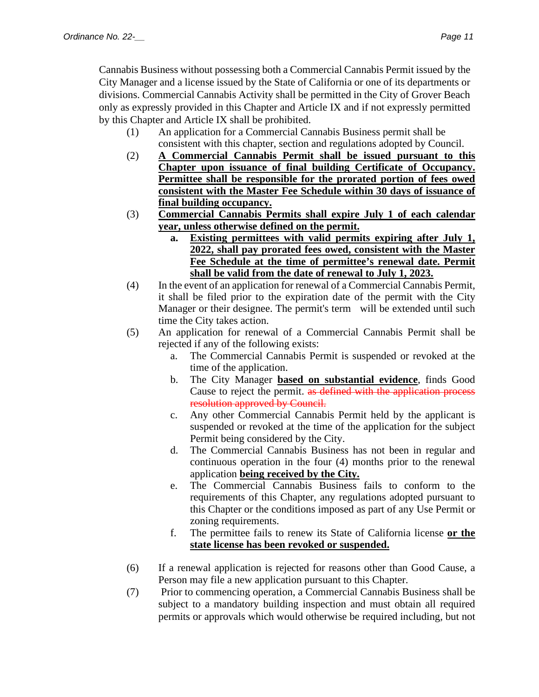Cannabis Business without possessing both a Commercial Cannabis Permit issued by the City Manager and a license issued by the State of California or one of its departments or divisions. Commercial Cannabis Activity shall be permitted in the City of Grover Beach only as expressly provided in this Chapter and Article IX and if not expressly permitted by this Chapter and Article IX shall be prohibited.

- (1) An application for a Commercial Cannabis Business permit shall be consistent with this chapter, section and regulations adopted by Council.
- (2) **A Commercial Cannabis Permit shall be issued pursuant to this Chapter upon issuance of final building Certificate of Occupancy. Permittee shall be responsible for the prorated portion of fees owed consistent with the Master Fee Schedule within 30 days of issuance of final building occupancy.**
- (3) **Commercial Cannabis Permits shall expire July 1 of each calendar year, unless otherwise defined on the permit.**
	- **a. Existing permittees with valid permits expiring after July 1, 2022, shall pay prorated fees owed, consistent with the Master Fee Schedule at the time of permittee's renewal date. Permit shall be valid from the date of renewal to July 1, 2023.**
- (4) In the event of an application for renewal of a Commercial Cannabis Permit, it shall be filed prior to the expiration date of the permit with the City Manager or their designee. The permit's term will be extended until such time the City takes action.
- (5) An application for renewal of a Commercial Cannabis Permit shall be rejected if any of the following exists:
	- a. The Commercial Cannabis Permit is suspended or revoked at the time of the application.
	- b. The City Manager **based on substantial evidence**, finds Good Cause to reject the permit. as defined with the application process resolution approved by Council.
	- c. Any other Commercial Cannabis Permit held by the applicant is suspended or revoked at the time of the application for the subject Permit being considered by the City.
	- d. The Commercial Cannabis Business has not been in regular and continuous operation in the four (4) months prior to the renewal application **being received by the City.**
	- e. The Commercial Cannabis Business fails to conform to the requirements of this Chapter, any regulations adopted pursuant to this Chapter or the conditions imposed as part of any Use Permit or zoning requirements.
	- f. The permittee fails to renew its State of California license **or the state license has been revoked or suspended.**
- (6) If a renewal application is rejected for reasons other than Good Cause, a Person may file a new application pursuant to this Chapter.
- (7) Prior to commencing operation, a Commercial Cannabis Business shall be subject to a mandatory building inspection and must obtain all required permits or approvals which would otherwise be required including, but not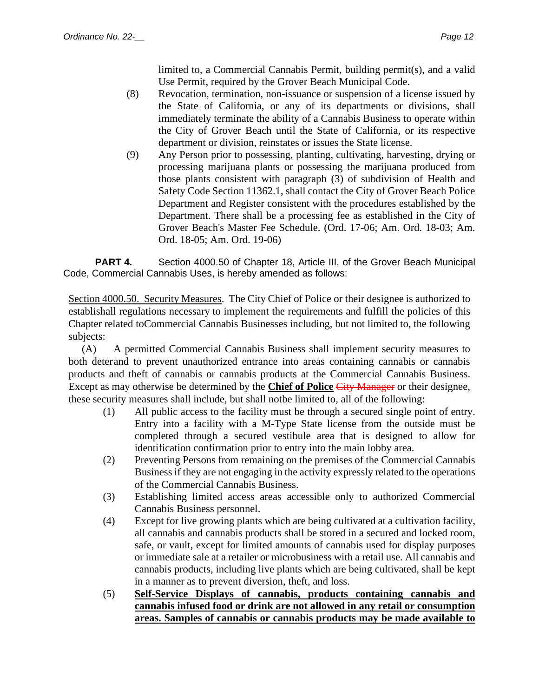limited to, a Commercial Cannabis Permit, building permit(s), and a valid Use Permit, required by the Grover Beach Municipal Code.

- (8) Revocation, termination, non-issuance or suspension of a license issued by the State of California, or any of its departments or divisions, shall immediately terminate the ability of a Cannabis Business to operate within the City of Grover Beach until the State of California, or its respective department or division, reinstates or issues the State license.
- (9) Any Person prior to possessing, planting, cultivating, harvesting, drying or processing marijuana plants or possessing the marijuana produced from those plants consistent with paragraph (3) of subdivision of Health and Safety Code Section 11362.1, shall contact the City of Grover Beach Police Department and Register consistent with the procedures established by the Department. There shall be a processing fee as established in the City of Grover Beach's Master Fee Schedule. (Ord. 17-06; Am. Ord. 18-03; Am. Ord. 18-05; Am. Ord. 19-06)

**PART 4.** Section 4000.50 of Chapter 18, Article III, of the Grover Beach Municipal Code, Commercial Cannabis Uses, is hereby amended as follows:

Section 4000.50. Security Measures. The City Chief of Police or their designee is authorized to establishall regulations necessary to implement the requirements and fulfill the policies of this Chapter related toCommercial Cannabis Businesses including, but not limited to, the following subjects:

(A) A permitted Commercial Cannabis Business shall implement security measures to both deterand to prevent unauthorized entrance into areas containing cannabis or cannabis products and theft of cannabis or cannabis products at the Commercial Cannabis Business. Except as may otherwise be determined by the **Chief of Police** City Manager or their designee, these security measures shall include, but shall notbe limited to, all of the following:

- (1) All public access to the facility must be through a secured single point of entry. Entry into a facility with a M-Type State license from the outside must be completed through a secured vestibule area that is designed to allow for identification confirmation prior to entry into the main lobby area.
- (2) Preventing Persons from remaining on the premises of the Commercial Cannabis Business if they are not engaging in the activity expressly related to the operations of the Commercial Cannabis Business.
- (3) Establishing limited access areas accessible only to authorized Commercial Cannabis Business personnel.
- (4) Except for live growing plants which are being cultivated at a cultivation facility, all cannabis and cannabis products shall be stored in a secured and locked room, safe, or vault, except for limited amounts of cannabis used for display purposes or immediate sale at a retailer or microbusiness with a retail use. All cannabis and cannabis products, including live plants which are being cultivated, shall be kept in a manner as to prevent diversion, theft, and loss.
- (5) **Self-Service Displays of cannabis, products containing cannabis and cannabis infused food or drink are not allowed in any retail or consumption areas. Samples of cannabis or cannabis products may be made available to**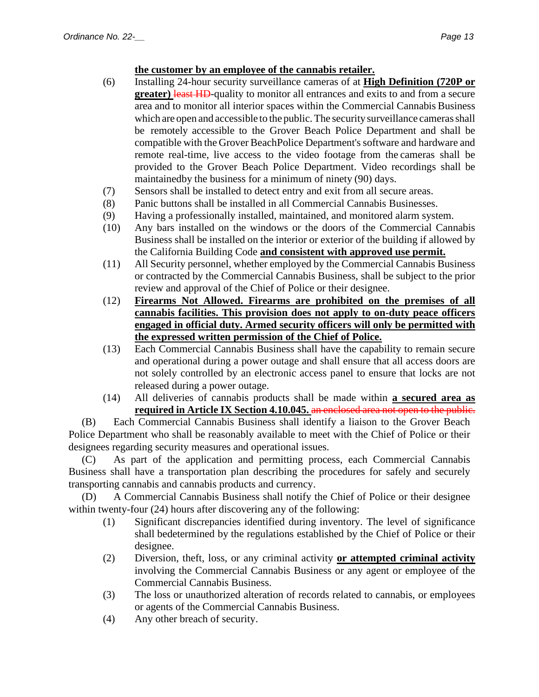## **the customer by an employee of the cannabis retailer.**

- (6) Installing 24-hour security surveillance cameras of at **High Definition (720P or greater)** least HD-quality to monitor all entrances and exits to and from a secure area and to monitor all interior spaces within the Commercial Cannabis Business which are open and accessible to the public. The security surveillance cameras shall be remotely accessible to the Grover Beach Police Department and shall be compatible with the Grover BeachPolice Department's software and hardware and remote real-time, live access to the video footage from the cameras shall be provided to the Grover Beach Police Department. Video recordings shall be maintainedby the business for a minimum of ninety (90) days.
- (7) Sensors shall be installed to detect entry and exit from all secure areas.
- (8) Panic buttons shall be installed in all Commercial Cannabis Businesses.
- (9) Having a professionally installed, maintained, and monitored alarm system.
- (10) Any bars installed on the windows or the doors of the Commercial Cannabis Business shall be installed on the interior or exterior of the building if allowed by the California Building Code **and consistent with approved use permit.**
- (11) All Security personnel, whether employed by the Commercial Cannabis Business or contracted by the Commercial Cannabis Business, shall be subject to the prior review and approval of the Chief of Police or their designee.
- (12) **Firearms Not Allowed. Firearms are prohibited on the premises of all cannabis facilities. This provision does not apply to on-duty peace officers engaged in official duty. Armed security officers will only be permitted with the expressed written permission of the Chief of Police.**
- (13) Each Commercial Cannabis Business shall have the capability to remain secure and operational during a power outage and shall ensure that all access doors are not solely controlled by an electronic access panel to ensure that locks are not released during a power outage.
- (14) All deliveries of cannabis products shall be made within **a secured area as required in Article IX Section 4.10.045.** an enclosed area not open to the public.

(B) Each Commercial Cannabis Business shall identify a liaison to the Grover Beach Police Department who shall be reasonably available to meet with the Chief of Police or their designees regarding security measures and operational issues.

(C) As part of the application and permitting process, each Commercial Cannabis Business shall have a transportation plan describing the procedures for safely and securely transporting cannabis and cannabis products and currency.

(D) A Commercial Cannabis Business shall notify the Chief of Police or their designee within twenty-four (24) hours after discovering any of the following:

- (1) Significant discrepancies identified during inventory. The level of significance shall bedetermined by the regulations established by the Chief of Police or their designee.
- (2) Diversion, theft, loss, or any criminal activity **or attempted criminal activity** involving the Commercial Cannabis Business or any agent or employee of the Commercial Cannabis Business.
- (3) The loss or unauthorized alteration of records related to cannabis, or employees or agents of the Commercial Cannabis Business.
- (4) Any other breach of security.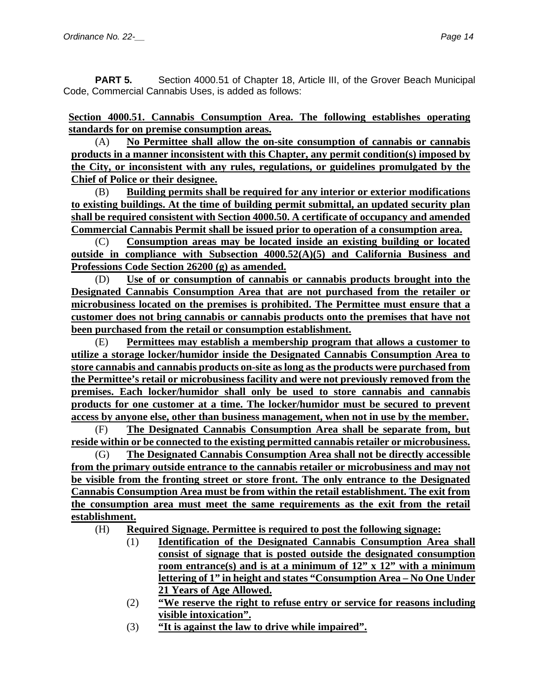**PART 5.** Section 4000.51 of Chapter 18, Article III, of the Grover Beach Municipal Code, Commercial Cannabis Uses, is added as follows:

**Section 4000.51. Cannabis Consumption Area. The following establishes operating standards for on premise consumption areas.**

(A) **No Permittee shall allow the on-site consumption of cannabis or cannabis products in a manner inconsistent with this Chapter, any permit condition(s) imposed by the City, or inconsistent with any rules, regulations, or guidelines promulgated by the Chief of Police or their designee.**

(B) **Building permits shall be required for any interior or exterior modifications to existing buildings. At the time of building permit submittal, an updated security plan shall be required consistent with Section 4000.50. A certificate of occupancy and amended Commercial Cannabis Permit shall be issued prior to operation of a consumption area.** 

(C) **Consumption areas may be located inside an existing building or located outside in compliance with Subsection 4000.52(A)(5) and California Business and Professions Code Section 26200 (g) as amended.** 

(D) **Use of or consumption of cannabis or cannabis products brought into the Designated Cannabis Consumption Area that are not purchased from the retailer or microbusiness located on the premises is prohibited. The Permittee must ensure that a customer does not bring cannabis or cannabis products onto the premises that have not been purchased from the retail or consumption establishment.**

(E) **Permittees may establish a membership program that allows a customer to utilize a storage locker/humidor inside the Designated Cannabis Consumption Area to store cannabis and cannabis products on-site as long as the products were purchased from the Permittee's retail or microbusiness facility and were not previously removed from the premises. Each locker/humidor shall only be used to store cannabis and cannabis products for one customer at a time. The locker/humidor must be secured to prevent access by anyone else, other than business management, when not in use by the member.**

(F) **The Designated Cannabis Consumption Area shall be separate from, but reside within or be connected to the existing permitted cannabis retailer or microbusiness.**

(G) **The Designated Cannabis Consumption Area shall not be directly accessible from the primary outside entrance to the cannabis retailer or microbusiness and may not be visible from the fronting street or store front. The only entrance to the Designated Cannabis Consumption Area must be from within the retail establishment. The exit from the consumption area must meet the same requirements as the exit from the retail establishment.**

(H) **Required Signage. Permittee is required to post the following signage:**

- (1) **Identification of the Designated Cannabis Consumption Area shall consist of signage that is posted outside the designated consumption room entrance(s) and is at a minimum of 12" x 12" with a minimum lettering of 1" in height and states "Consumption Area – No One Under 21 Years of Age Allowed.**
- (2) **"We reserve the right to refuse entry or service for reasons including visible intoxication".**
- (3) **"It is against the law to drive while impaired".**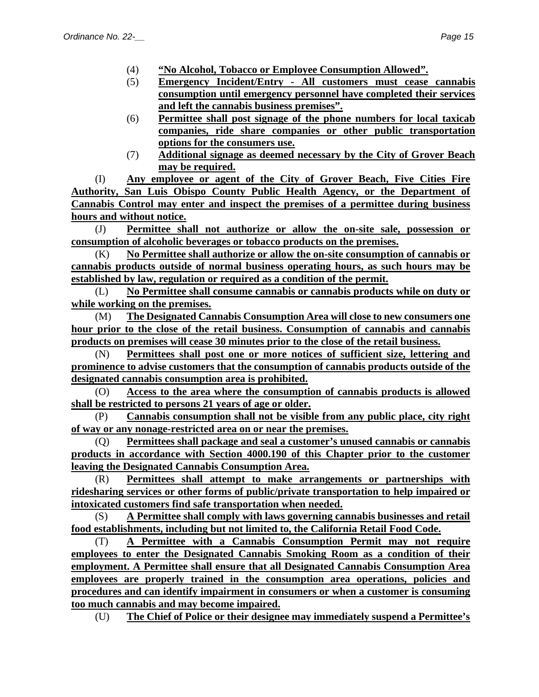- (4) **"No Alcohol, Tobacco or Employee Consumption Allowed".**
- (5) **Emergency Incident/Entry - All customers must cease cannabis consumption until emergency personnel have completed their services and left the cannabis business premises".**
- (6) **Permittee shall post signage of the phone numbers for local taxicab companies, ride share companies or other public transportation options for the consumers use.**
- (7) **Additional signage as deemed necessary by the City of Grover Beach may be required.**

(I) **Any employee or agent of the City of Grover Beach, Five Cities Fire Authority, San Luis Obispo County Public Health Agency, or the Department of Cannabis Control may enter and inspect the premises of a permittee during business hours and without notice.**

(J) **Permittee shall not authorize or allow the on-site sale, possession or consumption of alcoholic beverages or tobacco products on the premises.**

(K) **No Permittee shall authorize or allow the on-site consumption of cannabis or cannabis products outside of normal business operating hours, as such hours may be established by law, regulation or required as a condition of the permit.**

(L) **No Permittee shall consume cannabis or cannabis products while on duty or while working on the premises.**

(M) **The Designated Cannabis Consumption Area will close to new consumers one hour prior to the close of the retail business. Consumption of cannabis and cannabis products on premises will cease 30 minutes prior to the close of the retail business.** 

(N) **Permittees shall post one or more notices of sufficient size, lettering and prominence to advise customers that the consumption of cannabis products outside of the designated cannabis consumption area is prohibited.**

(O) **Access to the area where the consumption of cannabis products is allowed shall be restricted to persons 21 years of age or older.**

(P) **Cannabis consumption shall not be visible from any public place, city right of way or any nonage-restricted area on or near the premises.**

(Q) **Permittees shall package and seal a customer's unused cannabis or cannabis products in accordance with Section 4000.190 of this Chapter prior to the customer leaving the Designated Cannabis Consumption Area.** 

(R) **Permittees shall attempt to make arrangements or partnerships with ridesharing services or other forms of public/private transportation to help impaired or intoxicated customers find safe transportation when needed.**

(S) **A Permittee shall comply with laws governing cannabis businesses and retail food establishments, including but not limited to, the California Retail Food Code.**

(T) **A Permittee with a Cannabis Consumption Permit may not require employees to enter the Designated Cannabis Smoking Room as a condition of their employment. A Permittee shall ensure that all Designated Cannabis Consumption Area employees are properly trained in the consumption area operations, policies and procedures and can identify impairment in consumers or when a customer is consuming too much cannabis and may become impaired.**

(U) **The Chief of Police or their designee may immediately suspend a Permittee's**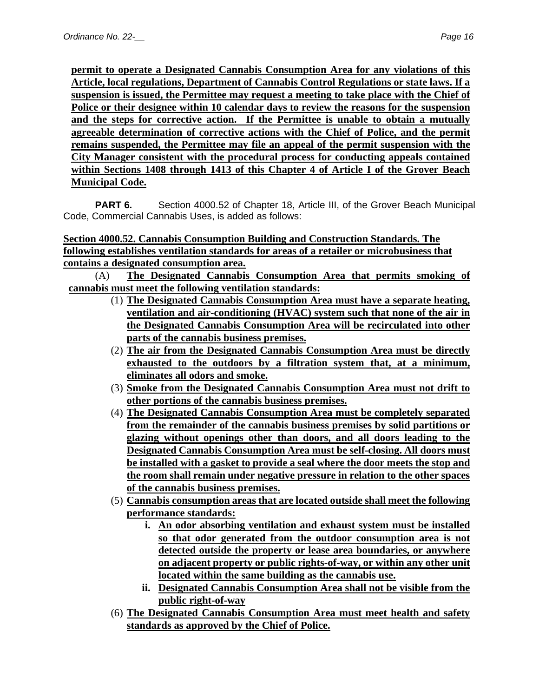**permit to operate a Designated Cannabis Consumption Area for any violations of this Article, local regulations, Department of Cannabis Control Regulations or state laws. If a suspension is issued, the Permittee may request a meeting to take place with the Chief of Police or their designee within 10 calendar days to review the reasons for the suspension and the steps for corrective action. If the Permittee is unable to obtain a mutually agreeable determination of corrective actions with the Chief of Police, and the permit remains suspended, the Permittee may file an appeal of the permit suspension with the City Manager consistent with the procedural process for conducting appeals contained within Sections 1408 through 1413 of this Chapter 4 of Article I of the Grover Beach Municipal Code.**

**PART 6.** Section 4000.52 of Chapter 18, Article III, of the Grover Beach Municipal Code, Commercial Cannabis Uses, is added as follows:

**Section 4000.52. Cannabis Consumption Building and Construction Standards. The following establishes ventilation standards for areas of a retailer or microbusiness that contains a designated consumption area.**

(A) **The Designated Cannabis Consumption Area that permits smoking of cannabis must meet the following ventilation standards:**

- (1) **The Designated Cannabis Consumption Area must have a separate heating, ventilation and air-conditioning (HVAC) system such that none of the air in the Designated Cannabis Consumption Area will be recirculated into other parts of the cannabis business premises.**
- (2) **The air from the Designated Cannabis Consumption Area must be directly exhausted to the outdoors by a filtration system that, at a minimum, eliminates all odors and smoke.**
- (3) **Smoke from the Designated Cannabis Consumption Area must not drift to other portions of the cannabis business premises.**
- (4) **The Designated Cannabis Consumption Area must be completely separated from the remainder of the cannabis business premises by solid partitions or glazing without openings other than doors, and all doors leading to the Designated Cannabis Consumption Area must be self-closing. All doors must be installed with a gasket to provide a seal where the door meets the stop and the room shall remain under negative pressure in relation to the other spaces of the cannabis business premises.**
- (5) **Cannabis consumption areas that are located outside shall meet the following performance standards:**
	- **i. An odor absorbing ventilation and exhaust system must be installed so that odor generated from the outdoor consumption area is not detected outside the property or lease area boundaries, or anywhere on adjacent property or public rights-of-way, or within any other unit located within the same building as the cannabis use.**
	- **ii. Designated Cannabis Consumption Area shall not be visible from the public right-of-way**
- (6) **The Designated Cannabis Consumption Area must meet health and safety standards as approved by the Chief of Police.**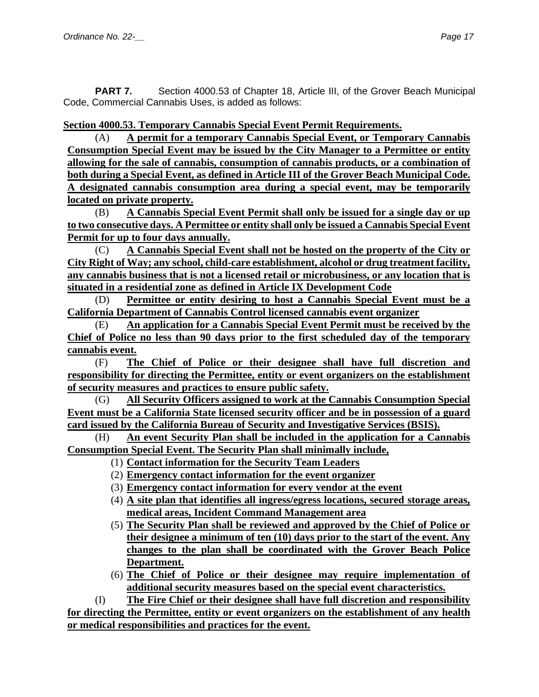**PART 7.** Section 4000.53 of Chapter 18, Article III, of the Grover Beach Municipal Code, Commercial Cannabis Uses, is added as follows:

**Section 4000.53. Temporary Cannabis Special Event Permit Requirements.**

(A) **A permit for a temporary Cannabis Special Event, or Temporary Cannabis Consumption Special Event may be issued by the City Manager to a Permittee or entity allowing for the sale of cannabis, consumption of cannabis products, or a combination of both during a Special Event, as defined in Article III of the Grover Beach Municipal Code. A designated cannabis consumption area during a special event, may be temporarily located on private property.**

(B) **A Cannabis Special Event Permit shall only be issued for a single day or up to two consecutive days. A Permittee or entity shall only be issued a Cannabis Special Event Permit for up to four days annually.**

(C) **A Cannabis Special Event shall not be hosted on the property of the City or City Right of Way; any school, child-care establishment, alcohol or drug treatment facility, any cannabis business that is not a licensed retail or microbusiness, or any location that is situated in a residential zone as defined in Article IX Development Code**

(D) **Permittee or entity desiring to host a Cannabis Special Event must be a California Department of Cannabis Control licensed cannabis event organizer**

(E) **An application for a Cannabis Special Event Permit must be received by the Chief of Police no less than 90 days prior to the first scheduled day of the temporary cannabis event.**

(F) **The Chief of Police or their designee shall have full discretion and responsibility for directing the Permittee, entity or event organizers on the establishment of security measures and practices to ensure public safety.**

(G) **All Security Officers assigned to work at the Cannabis Consumption Special Event must be a California State licensed security officer and be in possession of a guard card issued by the California Bureau of Security and Investigative Services (BSIS).**

(H) **An event Security Plan shall be included in the application for a Cannabis Consumption Special Event. The Security Plan shall minimally include,** 

- (1) **Contact information for the Security Team Leaders**
- (2) **Emergency contact information for the event organizer**
- (3) **Emergency contact information for every vendor at the event**
- (4) **A site plan that identifies all ingress/egress locations, secured storage areas, medical areas, Incident Command Management area**
- (5) **The Security Plan shall be reviewed and approved by the Chief of Police or their designee a minimum of ten (10) days prior to the start of the event. Any changes to the plan shall be coordinated with the Grover Beach Police Department.**
- (6) **The Chief of Police or their designee may require implementation of additional security measures based on the special event characteristics.**

(I) **The Fire Chief or their designee shall have full discretion and responsibility for directing the Permittee, entity or event organizers on the establishment of any health or medical responsibilities and practices for the event.**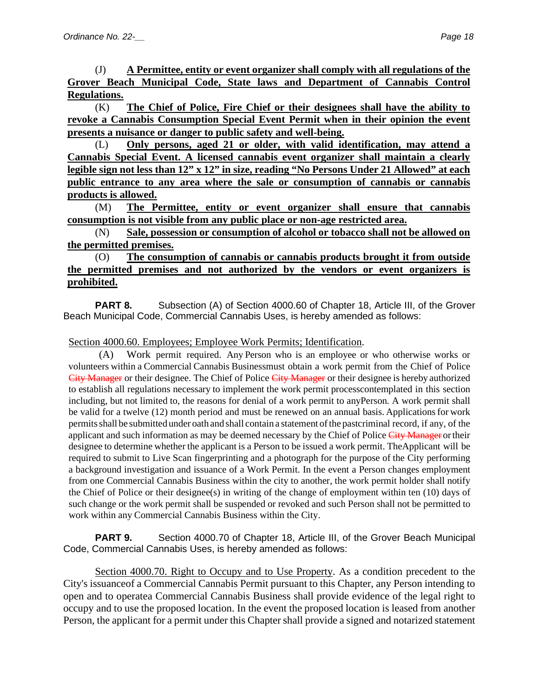(J) **A Permittee, entity or event organizer shall comply with all regulations of the Grover Beach Municipal Code, State laws and Department of Cannabis Control Regulations.**

(K) **The Chief of Police, Fire Chief or their designees shall have the ability to revoke a Cannabis Consumption Special Event Permit when in their opinion the event presents a nuisance or danger to public safety and well-being.**

(L) **Only persons, aged 21 or older, with valid identification, may attend a Cannabis Special Event. A licensed cannabis event organizer shall maintain a clearly legible sign not less than 12" x 12" in size, reading "No Persons Under 21 Allowed" at each public entrance to any area where the sale or consumption of cannabis or cannabis products is allowed.**

(M) **The Permittee, entity or event organizer shall ensure that cannabis consumption is not visible from any public place or non-age restricted area.**

(N) **Sale, possession or consumption of alcohol or tobacco shall not be allowed on the permitted premises.**

## (O) **The consumption of cannabis or cannabis products brought it from outside the permitted premises and not authorized by the vendors or event organizers is prohibited.**

**PART 8.** Subsection (A) of Section 4000.60 of Chapter 18, Article III, of the Grover Beach Municipal Code, Commercial Cannabis Uses, is hereby amended as follows:

### Section 4000.60. Employees; Employee Work Permits; Identification.

(A) Work permit required. Any Person who is an employee or who otherwise works or volunteers within a Commercial Cannabis Businessmust obtain a work permit from the Chief of Police City Manager or their designee. The Chief of Police City Manager or their designee is hereby authorized to establish all regulations necessary to implement the work permit processcontemplated in this section including, but not limited to, the reasons for denial of a work permit to anyPerson. A work permit shall be valid for a twelve (12) month period and must be renewed on an annual basis. Applications for work permitsshall be submitted under oath and shall contain a statement ofthe pastcriminal record, if any, of the applicant and such information as may be deemed necessary by the Chief of Police City Manager or their designee to determine whether the applicant is a Person to be issued a work permit. TheApplicant will be required to submit to Live Scan fingerprinting and a photograph for the purpose of the City performing a background investigation and issuance of a Work Permit. In the event a Person changes employment from one Commercial Cannabis Business within the city to another, the work permit holder shall notify the Chief of Police or their designee(s) in writing of the change of employment within ten (10) days of such change or the work permit shall be suspended or revoked and such Person shall not be permitted to work within any Commercial Cannabis Business within the City.

**PART 9.** Section 4000.70 of Chapter 18, Article III, of the Grover Beach Municipal Code, Commercial Cannabis Uses, is hereby amended as follows:

Section 4000.70. Right to Occupy and to Use Property. As a condition precedent to the City's issuanceof a Commercial Cannabis Permit pursuant to this Chapter, any Person intending to open and to operatea Commercial Cannabis Business shall provide evidence of the legal right to occupy and to use the proposed location. In the event the proposed location is leased from another Person, the applicant for a permit under this Chapter shall provide a signed and notarized statement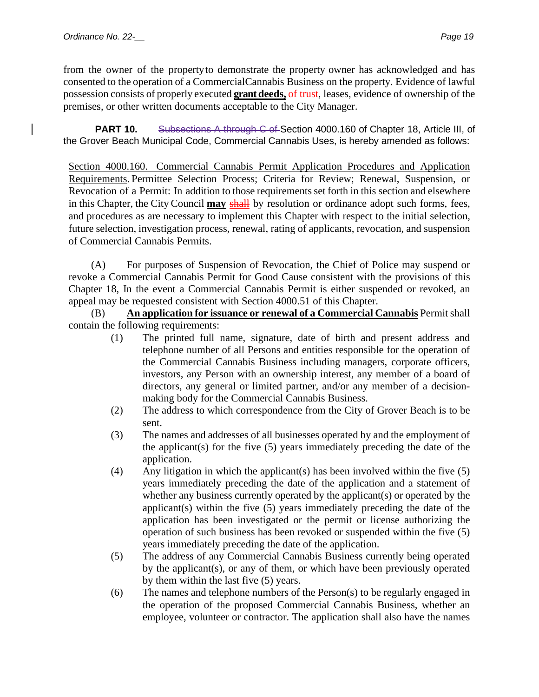from the owner of the propertyto demonstrate the property owner has acknowledged and has consented to the operation of a CommercialCannabis Business on the property. Evidence of lawful possession consists of properly executed **grant deeds,** of trust, leases, evidence of ownership of the premises, or other written documents acceptable to the City Manager.

**PART 10.** Subsections A through C of Section 4000.160 of Chapter 18, Article III, of the Grover Beach Municipal Code, Commercial Cannabis Uses, is hereby amended as follows:

Section 4000.160. Commercial Cannabis Permit Application Procedures and Application Requirements. Permittee Selection Process; Criteria for Review; Renewal, Suspension, or Revocation of a Permit: In addition to those requirementsset forth in this section and elsewhere in this Chapter, the City Council **may** shall by resolution or ordinance adopt such forms, fees, and procedures as are necessary to implement this Chapter with respect to the initial selection, future selection, investigation process, renewal, rating of applicants, revocation, and suspension of Commercial Cannabis Permits.

(A) For purposes of Suspension of Revocation, the Chief of Police may suspend or revoke a Commercial Cannabis Permit for Good Cause consistent with the provisions of this Chapter 18, In the event a Commercial Cannabis Permit is either suspended or revoked, an appeal may be requested consistent with Section 4000.51 of this Chapter.

(B) **An application for issuance or renewal of a Commercial Cannabis** Permit shall contain the following requirements:

- (1) The printed full name, signature, date of birth and present address and telephone number of all Persons and entities responsible for the operation of the Commercial Cannabis Business including managers, corporate officers, investors, any Person with an ownership interest, any member of a board of directors, any general or limited partner, and/or any member of a decisionmaking body for the Commercial Cannabis Business.
- (2) The address to which correspondence from the City of Grover Beach is to be sent.
- (3) The names and addresses of all businesses operated by and the employment of the applicant(s) for the five (5) years immediately preceding the date of the application.
- (4) Any litigation in which the applicant(s) has been involved within the five (5) years immediately preceding the date of the application and a statement of whether any business currently operated by the applicant(s) or operated by the applicant(s) within the five (5) years immediately preceding the date of the application has been investigated or the permit or license authorizing the operation of such business has been revoked or suspended within the five (5) years immediately preceding the date of the application.
- (5) The address of any Commercial Cannabis Business currently being operated by the applicant(s), or any of them, or which have been previously operated by them within the last five (5) years.
- (6) The names and telephone numbers of the Person(s) to be regularly engaged in the operation of the proposed Commercial Cannabis Business, whether an employee, volunteer or contractor. The application shall also have the names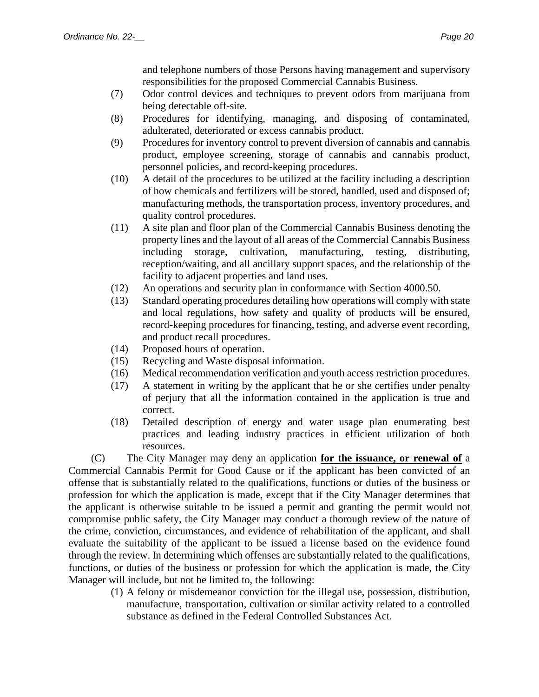and telephone numbers of those Persons having management and supervisory responsibilities for the proposed Commercial Cannabis Business.

- (7) Odor control devices and techniques to prevent odors from marijuana from being detectable off-site.
- (8) Procedures for identifying, managing, and disposing of contaminated, adulterated, deteriorated or excess cannabis product.
- (9) Procedures for inventory control to prevent diversion of cannabis and cannabis product, employee screening, storage of cannabis and cannabis product, personnel policies, and record-keeping procedures.
- (10) A detail of the procedures to be utilized at the facility including a description of how chemicals and fertilizers will be stored, handled, used and disposed of; manufacturing methods, the transportation process, inventory procedures, and quality control procedures.
- (11) A site plan and floor plan of the Commercial Cannabis Business denoting the property lines and the layout of all areas of the Commercial Cannabis Business including storage, cultivation, manufacturing, testing, distributing, reception/waiting, and all ancillary support spaces, and the relationship of the facility to adjacent properties and land uses.
- (12) An operations and security plan in conformance with Section 4000.50.
- (13) Standard operating procedures detailing how operations will comply with state and local regulations, how safety and quality of products will be ensured, record-keeping procedures for financing, testing, and adverse event recording, and product recall procedures.
- (14) Proposed hours of operation.
- (15) Recycling and Waste disposal information.
- (16) Medical recommendation verification and youth access restriction procedures.
- (17) A statement in writing by the applicant that he or she certifies under penalty of perjury that all the information contained in the application is true and correct.
- (18) Detailed description of energy and water usage plan enumerating best practices and leading industry practices in efficient utilization of both resources.

(C) The City Manager may deny an application **for the issuance, or renewal of** a Commercial Cannabis Permit for Good Cause or if the applicant has been convicted of an offense that is substantially related to the qualifications, functions or duties of the business or profession for which the application is made, except that if the City Manager determines that the applicant is otherwise suitable to be issued a permit and granting the permit would not compromise public safety, the City Manager may conduct a thorough review of the nature of the crime, conviction, circumstances, and evidence of rehabilitation of the applicant, and shall evaluate the suitability of the applicant to be issued a license based on the evidence found through the review. In determining which offenses are substantially related to the qualifications, functions, or duties of the business or profession for which the application is made, the City Manager will include, but not be limited to, the following:

(1) A felony or misdemeanor conviction for the illegal use, possession, distribution, manufacture, transportation, cultivation or similar activity related to a controlled substance as defined in the Federal Controlled Substances Act.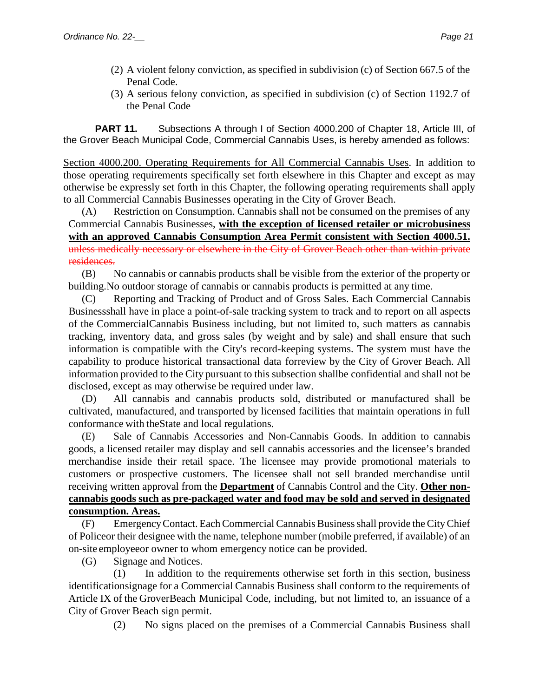- (2) A violent felony conviction, as specified in subdivision (c) of Section 667.5 of the Penal Code.
- (3) A serious felony conviction, as specified in subdivision (c) of Section 1192.7 of the Penal Code

**PART 11.** Subsections A through I of Section 4000.200 of Chapter 18, Article III, of the Grover Beach Municipal Code, Commercial Cannabis Uses, is hereby amended as follows:

Section 4000.200. Operating Requirements for All Commercial Cannabis Uses. In addition to those operating requirements specifically set forth elsewhere in this Chapter and except as may otherwise be expressly set forth in this Chapter, the following operating requirements shall apply to all Commercial Cannabis Businesses operating in the City of Grover Beach.

(A) Restriction on Consumption. Cannabis shall not be consumed on the premises of any Commercial Cannabis Businesses, **with the exception of licensed retailer or microbusiness with an approved Cannabis Consumption Area Permit consistent with Section 4000.51.** unless medically necessary or elsewhere in the City of Grover Beach other than within private residences.

(B) No cannabis or cannabis products shall be visible from the exterior of the property or building.No outdoor storage of cannabis or cannabis products is permitted at any time.

(C) Reporting and Tracking of Product and of Gross Sales. Each Commercial Cannabis Businessshall have in place a point-of-sale tracking system to track and to report on all aspects of the CommercialCannabis Business including, but not limited to, such matters as cannabis tracking, inventory data, and gross sales (by weight and by sale) and shall ensure that such information is compatible with the City's record-keeping systems. The system must have the capability to produce historical transactional data forreview by the City of Grover Beach. All information provided to the City pursuant to this subsection shallbe confidential and shall not be disclosed, except as may otherwise be required under law.

(D) All cannabis and cannabis products sold, distributed or manufactured shall be cultivated, manufactured, and transported by licensed facilities that maintain operations in full conformance with theState and local regulations.

(E) Sale of Cannabis Accessories and Non-Cannabis Goods. In addition to cannabis goods, a licensed retailer may display and sell cannabis accessories and the licensee's branded merchandise inside their retail space. The licensee may provide promotional materials to customers or prospective customers. The licensee shall not sell branded merchandise until receiving written approval from the **Department** of Cannabis Control and the City. **Other noncannabis goods such as pre-packaged water and food may be sold and served in designated consumption. Areas.**

(F) EmergencyContact. EachCommercial Cannabis Businessshall provide theCityChief of Policeor their designee with the name, telephone number (mobile preferred, if available) of an on-site employeeor owner to whom emergency notice can be provided.

(G) Signage and Notices.

(1) In addition to the requirements otherwise set forth in this section, business identificationsignage for a Commercial Cannabis Business shall conform to the requirements of Article IX of the GroverBeach Municipal Code, including, but not limited to, an issuance of a City of Grover Beach sign permit.

(2) No signs placed on the premises of a Commercial Cannabis Business shall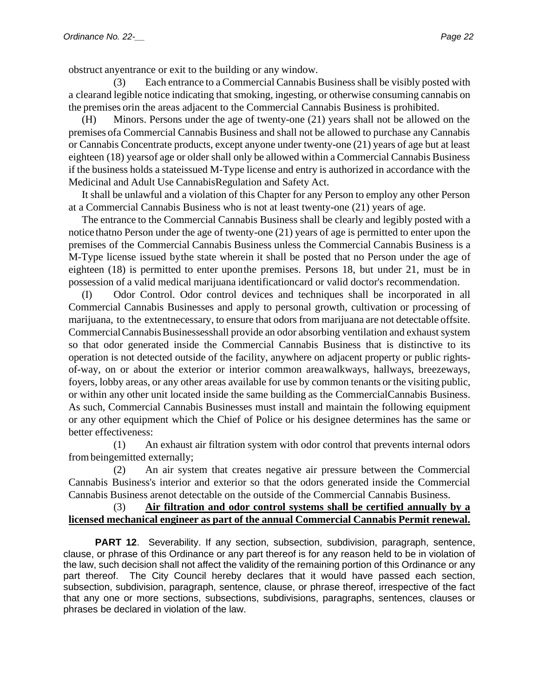obstruct anyentrance or exit to the building or any window.

(3) Each entrance to a Commercial Cannabis Businessshall be visibly posted with a clearand legible notice indicating that smoking, ingesting, or otherwise consuming cannabis on the premises orin the areas adjacent to the Commercial Cannabis Business is prohibited.

(H) Minors. Persons under the age of twenty-one (21) years shall not be allowed on the premises ofa Commercial Cannabis Business and shall not be allowed to purchase any Cannabis or Cannabis Concentrate products, except anyone under twenty-one (21) years of age but at least eighteen (18) yearsof age or older shall only be allowed within a Commercial Cannabis Business if the business holds a stateissued M-Type license and entry is authorized in accordance with the Medicinal and Adult Use CannabisRegulation and Safety Act.

It shall be unlawful and a violation of this Chapter for any Person to employ any other Person at a Commercial Cannabis Business who is not at least twenty-one (21) years of age.

The entrance to the Commercial Cannabis Business shall be clearly and legibly posted with a notice thatno Person under the age of twenty-one (21) years of age is permitted to enter upon the premises of the Commercial Cannabis Business unless the Commercial Cannabis Business is a M-Type license issued bythe state wherein it shall be posted that no Person under the age of eighteen (18) is permitted to enter uponthe premises. Persons 18, but under 21, must be in possession of a valid medical marijuana identificationcard or valid doctor's recommendation.

(I) Odor Control. Odor control devices and techniques shall be incorporated in all Commercial Cannabis Businesses and apply to personal growth, cultivation or processing of marijuana, to the extentnecessary, to ensure that odors from marijuana are not detectable offsite. CommercialCannabisBusinessesshall provide an odor absorbing ventilation and exhaust system so that odor generated inside the Commercial Cannabis Business that is distinctive to its operation is not detected outside of the facility, anywhere on adjacent property or public rightsof-way, on or about the exterior or interior common areawalkways, hallways, breezeways, foyers, lobby areas, or any other areas available for use by common tenants or the visiting public, or within any other unit located inside the same building as the CommercialCannabis Business. As such, Commercial Cannabis Businesses must install and maintain the following equipment or any other equipment which the Chief of Police or his designee determines has the same or better effectiveness:

(1) An exhaust air filtration system with odor control that prevents internal odors frombeingemitted externally;

(2) An air system that creates negative air pressure between the Commercial Cannabis Business's interior and exterior so that the odors generated inside the Commercial Cannabis Business arenot detectable on the outside of the Commercial Cannabis Business.

## (3) **Air filtration and odor control systems shall be certified annually by a licensed mechanical engineer as part of the annual Commercial Cannabis Permit renewal.**

**PART 12.** Severability. If any section, subsection, subdivision, paragraph, sentence, clause, or phrase of this Ordinance or any part thereof is for any reason held to be in violation of the law, such decision shall not affect the validity of the remaining portion of this Ordinance or any part thereof. The City Council hereby declares that it would have passed each section, subsection, subdivision, paragraph, sentence, clause, or phrase thereof, irrespective of the fact that any one or more sections, subsections, subdivisions, paragraphs, sentences, clauses or phrases be declared in violation of the law.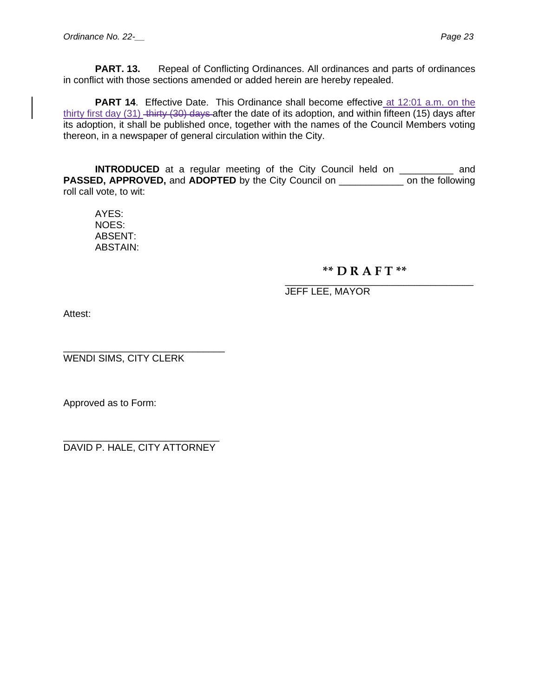**PART. 13.** Repeal of Conflicting Ordinances. All ordinances and parts of ordinances in conflict with those sections amended or added herein are hereby repealed.

**PART 14.** Effective Date. This Ordinance shall become effective at 12:01 a.m. on the thirty first day (31) thirty (30) days after the date of its adoption, and within fifteen (15) days after its adoption, it shall be published once, together with the names of the Council Members voting thereon, in a newspaper of general circulation within the City.

**INTRODUCED** at a regular meeting of the City Council held on \_\_\_\_\_\_\_\_\_\_ and **PASSED, APPROVED, and ADOPTED** by the City Council on \_\_\_\_\_\_\_\_\_\_\_\_\_\_ on the following roll call vote, to wit:

AYES: NOES: ABSENT: ABSTAIN:

## **\*\* D R A F T \*\***

\_\_\_\_\_\_\_\_\_\_\_\_\_\_\_\_\_\_\_\_\_\_\_\_\_\_\_\_\_\_\_\_\_\_\_ JEFF LEE, MAYOR

Attest:

\_\_\_\_\_\_\_\_\_\_\_\_\_\_\_\_\_\_\_\_\_\_\_\_\_\_\_\_\_\_ WENDI SIMS, CITY CLERK

Approved as to Form:

\_\_\_\_\_\_\_\_\_\_\_\_\_\_\_\_\_\_\_\_\_\_\_\_\_\_\_\_\_ DAVID P. HALE, CITY ATTORNEY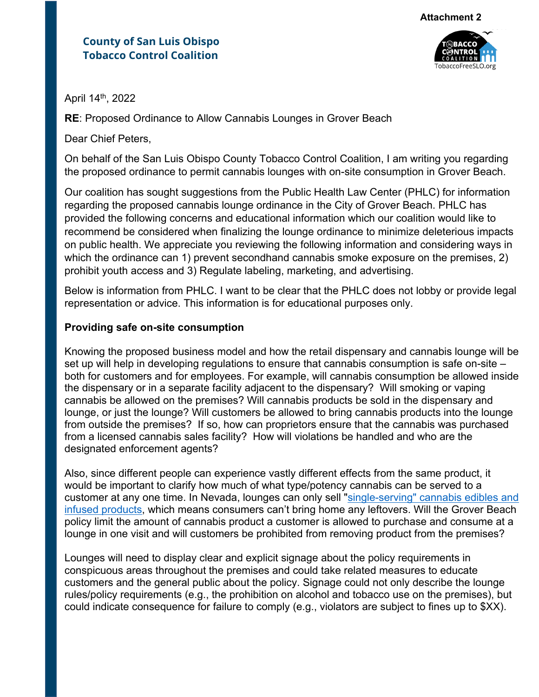## **County of San Luis Obispo Tobacco Control Coalition**



April 14th, 2022

**RE**: Proposed Ordinance to Allow Cannabis Lounges in Grover Beach

Dear Chief Peters,

On behalf of the San Luis Obispo County Tobacco Control Coalition, I am writing you regarding the proposed ordinance to permit cannabis lounges with on-site consumption in Grover Beach.

Our coalition has sought suggestions from the Public Health Law Center (PHLC) for information regarding the proposed cannabis lounge ordinance in the City of Grover Beach. PHLC has provided the following concerns and educational information which our coalition would like to recommend be considered when finalizing the lounge ordinance to minimize deleterious impacts on public health. We appreciate you reviewing the following information and considering ways in which the ordinance can 1) prevent secondhand cannabis smoke exposure on the premises, 2) prohibit youth access and 3) Regulate labeling, marketing, and advertising.

Below is information from PHLC. I want to be clear that the PHLC does not lobby or provide legal representation or advice. This information is for educational purposes only.

## **Providing safe on-site consumption**

Knowing the proposed business model and how the retail dispensary and cannabis lounge will be set up will help in developing regulations to ensure that cannabis consumption is safe on-site – both for customers and for employees. For example, will cannabis consumption be allowed inside the dispensary or in a separate facility adjacent to the dispensary? Will smoking or vaping cannabis be allowed on the premises? Will cannabis products be sold in the dispensary and lounge, or just the lounge? Will customers be allowed to bring cannabis products into the lounge from outside the premises? If so, how can proprietors ensure that the cannabis was purchased from a licensed cannabis sales facility? How will violations be handled and who are the designated enforcement agents?

Also, since different people can experience vastly different effects from the same product, it would be important to clarify how much of what type/potency cannabis can be served to a customer at any one time. In Nevada, lounges can only sell "single-serving" cannabis edibles and infused products, which means consumers can't bring home any leftovers. Will the Grover Beach policy limit the amount of cannabis product a customer is allowed to purchase and consume at a lounge in one visit and will customers be prohibited from removing product from the premises?

Lounges will need to display clear and explicit signage about the policy requirements in conspicuous areas throughout the premises and could take related measures to educate customers and the general public about the policy. Signage could not only describe the lounge rules/policy requirements (e.g., the prohibition on alcohol and tobacco use on the premises), but could indicate consequence for failure to comply (e.g., violators are subject to fines up to \$XX).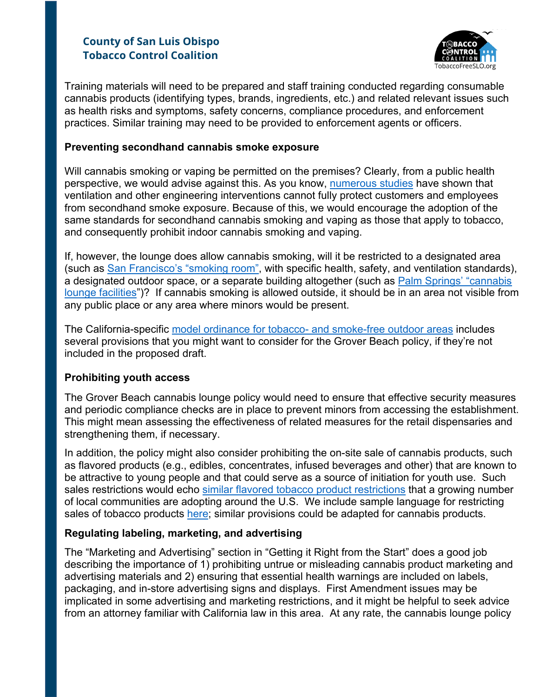# **County of San Luis Obispo Tobacco Control Coalition**



Training materials will need to be prepared and staff training conducted regarding consumable cannabis products (identifying types, brands, ingredients, etc.) and related relevant issues such as health risks and symptoms, safety concerns, compliance procedures, and enforcement practices. Similar training may need to be provided to enforcement agents or officers.

## **Preventing secondhand cannabis smoke exposure**

Will cannabis smoking or vaping be permitted on the premises? Clearly, from a public health perspective, we would advise against this. As you know, numerous studies have shown that ventilation and other engineering interventions cannot fully protect customers and employees from secondhand smoke exposure. Because of this, we would encourage the adoption of the same standards for secondhand cannabis smoking and vaping as those that apply to tobacco, and consequently prohibit indoor cannabis smoking and vaping.

If, however, the lounge does allow cannabis smoking, will it be restricted to a designated area (such as San Francisco's "smoking room", with specific health, safety, and ventilation standards), a designated outdoor space, or a separate building altogether (such as Palm Springs' "cannabis lounge facilities")? If cannabis smoking is allowed outside, it should be in an area not visible from any public place or any area where minors would be present.

The California-specific model ordinance for tobacco- and smoke-free outdoor areas includes several provisions that you might want to consider for the Grover Beach policy, if they're not included in the proposed draft.

## **Prohibiting youth access**

The Grover Beach cannabis lounge policy would need to ensure that effective security measures and periodic compliance checks are in place to prevent minors from accessing the establishment. This might mean assessing the effectiveness of related measures for the retail dispensaries and strengthening them, if necessary.

In addition, the policy might also consider prohibiting the on-site sale of cannabis products, such as flavored products (e.g., edibles, concentrates, infused beverages and other) that are known to be attractive to young people and that could serve as a source of initiation for youth use. Such sales restrictions would echo similar flavored tobacco product restrictions that a growing number of local communities are adopting around the U.S. We include sample language for restricting sales of tobacco products here; similar provisions could be adapted for cannabis products.

## **Regulating labeling, marketing, and advertising**

The "Marketing and Advertising" section in "Getting it Right from the Start" does a good job describing the importance of 1) prohibiting untrue or misleading cannabis product marketing and advertising materials and 2) ensuring that essential health warnings are included on labels, packaging, and in-store advertising signs and displays. First Amendment issues may be implicated in some advertising and marketing restrictions, and it might be helpful to seek advice from an attorney familiar with California law in this area. At any rate, the cannabis lounge policy